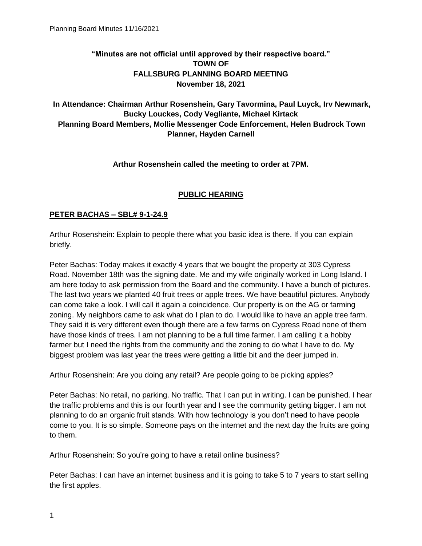# **"Minutes are not official until approved by their respective board." TOWN OF FALLSBURG PLANNING BOARD MEETING November 18, 2021**

## **In Attendance: Chairman Arthur Rosenshein, Gary Tavormina, Paul Luyck, Irv Newmark, Bucky Louckes, Cody Vegliante, Michael Kirtack Planning Board Members, Mollie Messenger Code Enforcement, Helen Budrock Town Planner, Hayden Carnell**

### **Arthur Rosenshein called the meeting to order at 7PM.**

### **PUBLIC HEARING**

#### **PETER BACHAS – SBL# 9-1-24.9**

Arthur Rosenshein: Explain to people there what you basic idea is there. If you can explain briefly.

Peter Bachas: Today makes it exactly 4 years that we bought the property at 303 Cypress Road. November 18th was the signing date. Me and my wife originally worked in Long Island. I am here today to ask permission from the Board and the community. I have a bunch of pictures. The last two years we planted 40 fruit trees or apple trees. We have beautiful pictures. Anybody can come take a look. I will call it again a coincidence. Our property is on the AG or farming zoning. My neighbors came to ask what do I plan to do. I would like to have an apple tree farm. They said it is very different even though there are a few farms on Cypress Road none of them have those kinds of trees. I am not planning to be a full time farmer. I am calling it a hobby farmer but I need the rights from the community and the zoning to do what I have to do. My biggest problem was last year the trees were getting a little bit and the deer jumped in.

Arthur Rosenshein: Are you doing any retail? Are people going to be picking apples?

Peter Bachas: No retail, no parking. No traffic. That I can put in writing. I can be punished. I hear the traffic problems and this is our fourth year and I see the community getting bigger. I am not planning to do an organic fruit stands. With how technology is you don't need to have people come to you. It is so simple. Someone pays on the internet and the next day the fruits are going to them.

Arthur Rosenshein: So you're going to have a retail online business?

Peter Bachas: I can have an internet business and it is going to take 5 to 7 years to start selling the first apples.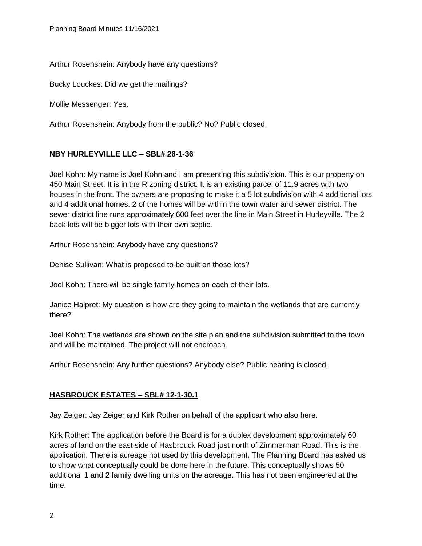Arthur Rosenshein: Anybody have any questions?

Bucky Louckes: Did we get the mailings?

Mollie Messenger: Yes.

Arthur Rosenshein: Anybody from the public? No? Public closed.

### **NBY HURLEYVILLE LLC – SBL# 26-1-36**

Joel Kohn: My name is Joel Kohn and I am presenting this subdivision. This is our property on 450 Main Street. It is in the R zoning district. It is an existing parcel of 11.9 acres with two houses in the front. The owners are proposing to make it a 5 lot subdivision with 4 additional lots and 4 additional homes. 2 of the homes will be within the town water and sewer district. The sewer district line runs approximately 600 feet over the line in Main Street in Hurleyville. The 2 back lots will be bigger lots with their own septic.

Arthur Rosenshein: Anybody have any questions?

Denise Sullivan: What is proposed to be built on those lots?

Joel Kohn: There will be single family homes on each of their lots.

Janice Halpret: My question is how are they going to maintain the wetlands that are currently there?

Joel Kohn: The wetlands are shown on the site plan and the subdivision submitted to the town and will be maintained. The project will not encroach.

Arthur Rosenshein: Any further questions? Anybody else? Public hearing is closed.

### **HASBROUCK ESTATES – SBL# 12-1-30.1**

Jay Zeiger: Jay Zeiger and Kirk Rother on behalf of the applicant who also here.

Kirk Rother: The application before the Board is for a duplex development approximately 60 acres of land on the east side of Hasbrouck Road just north of Zimmerman Road. This is the application. There is acreage not used by this development. The Planning Board has asked us to show what conceptually could be done here in the future. This conceptually shows 50 additional 1 and 2 family dwelling units on the acreage. This has not been engineered at the time.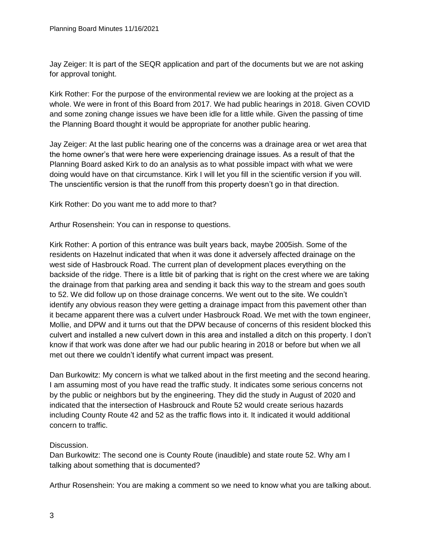Jay Zeiger: It is part of the SEQR application and part of the documents but we are not asking for approval tonight.

Kirk Rother: For the purpose of the environmental review we are looking at the project as a whole. We were in front of this Board from 2017. We had public hearings in 2018. Given COVID and some zoning change issues we have been idle for a little while. Given the passing of time the Planning Board thought it would be appropriate for another public hearing.

Jay Zeiger: At the last public hearing one of the concerns was a drainage area or wet area that the home owner's that were here were experiencing drainage issues. As a result of that the Planning Board asked Kirk to do an analysis as to what possible impact with what we were doing would have on that circumstance. Kirk I will let you fill in the scientific version if you will. The unscientific version is that the runoff from this property doesn't go in that direction.

Kirk Rother: Do you want me to add more to that?

Arthur Rosenshein: You can in response to questions.

Kirk Rother: A portion of this entrance was built years back, maybe 2005ish. Some of the residents on Hazelnut indicated that when it was done it adversely affected drainage on the west side of Hasbrouck Road. The current plan of development places everything on the backside of the ridge. There is a little bit of parking that is right on the crest where we are taking the drainage from that parking area and sending it back this way to the stream and goes south to 52. We did follow up on those drainage concerns. We went out to the site. We couldn't identify any obvious reason they were getting a drainage impact from this pavement other than it became apparent there was a culvert under Hasbrouck Road. We met with the town engineer, Mollie, and DPW and it turns out that the DPW because of concerns of this resident blocked this culvert and installed a new culvert down in this area and installed a ditch on this property. I don't know if that work was done after we had our public hearing in 2018 or before but when we all met out there we couldn't identify what current impact was present.

Dan Burkowitz: My concern is what we talked about in the first meeting and the second hearing. I am assuming most of you have read the traffic study. It indicates some serious concerns not by the public or neighbors but by the engineering. They did the study in August of 2020 and indicated that the intersection of Hasbrouck and Route 52 would create serious hazards including County Route 42 and 52 as the traffic flows into it. It indicated it would additional concern to traffic.

### Discussion.

Dan Burkowitz: The second one is County Route (inaudible) and state route 52. Why am I talking about something that is documented?

Arthur Rosenshein: You are making a comment so we need to know what you are talking about.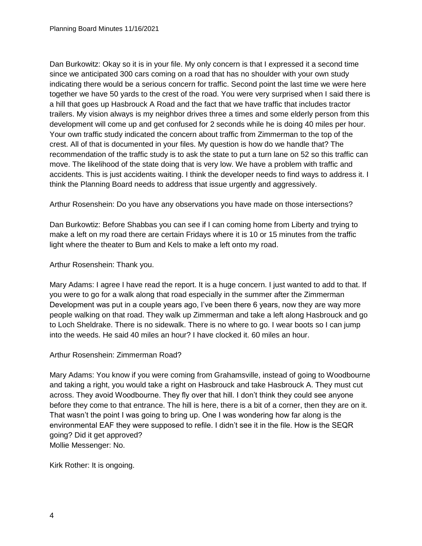Dan Burkowitz: Okay so it is in your file. My only concern is that I expressed it a second time since we anticipated 300 cars coming on a road that has no shoulder with your own study indicating there would be a serious concern for traffic. Second point the last time we were here together we have 50 yards to the crest of the road. You were very surprised when I said there is a hill that goes up Hasbrouck A Road and the fact that we have traffic that includes tractor trailers. My vision always is my neighbor drives three a times and some elderly person from this development will come up and get confused for 2 seconds while he is doing 40 miles per hour. Your own traffic study indicated the concern about traffic from Zimmerman to the top of the crest. All of that is documented in your files. My question is how do we handle that? The recommendation of the traffic study is to ask the state to put a turn lane on 52 so this traffic can move. The likelihood of the state doing that is very low. We have a problem with traffic and accidents. This is just accidents waiting. I think the developer needs to find ways to address it. I think the Planning Board needs to address that issue urgently and aggressively.

Arthur Rosenshein: Do you have any observations you have made on those intersections?

Dan Burkowtiz: Before Shabbas you can see if I can coming home from Liberty and trying to make a left on my road there are certain Fridays where it is 10 or 15 minutes from the traffic light where the theater to Bum and Kels to make a left onto my road.

#### Arthur Rosenshein: Thank you.

Mary Adams: I agree I have read the report. It is a huge concern. I just wanted to add to that. If you were to go for a walk along that road especially in the summer after the Zimmerman Development was put in a couple years ago, I've been there 6 years, now they are way more people walking on that road. They walk up Zimmerman and take a left along Hasbrouck and go to Loch Sheldrake. There is no sidewalk. There is no where to go. I wear boots so I can jump into the weeds. He said 40 miles an hour? I have clocked it. 60 miles an hour.

#### Arthur Rosenshein: Zimmerman Road?

Mary Adams: You know if you were coming from Grahamsville, instead of going to Woodbourne and taking a right, you would take a right on Hasbrouck and take Hasbrouck A. They must cut across. They avoid Woodbourne. They fly over that hill. I don't think they could see anyone before they come to that entrance. The hill is here, there is a bit of a corner, then they are on it. That wasn't the point I was going to bring up. One I was wondering how far along is the environmental EAF they were supposed to refile. I didn't see it in the file. How is the SEQR going? Did it get approved? Mollie Messenger: No.

Kirk Rother: It is ongoing.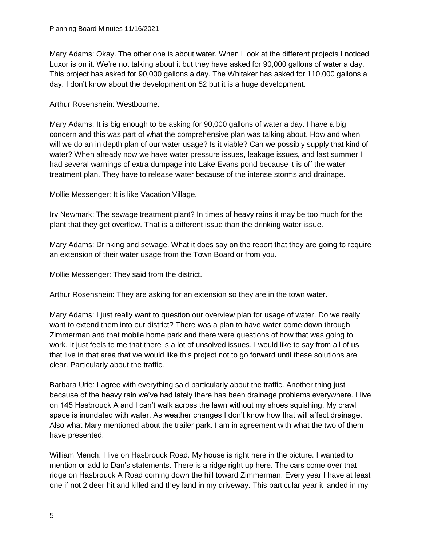Mary Adams: Okay. The other one is about water. When I look at the different projects I noticed Luxor is on it. We're not talking about it but they have asked for 90,000 gallons of water a day. This project has asked for 90,000 gallons a day. The Whitaker has asked for 110,000 gallons a day. I don't know about the development on 52 but it is a huge development.

Arthur Rosenshein: Westbourne.

Mary Adams: It is big enough to be asking for 90,000 gallons of water a day. I have a big concern and this was part of what the comprehensive plan was talking about. How and when will we do an in depth plan of our water usage? Is it viable? Can we possibly supply that kind of water? When already now we have water pressure issues, leakage issues, and last summer I had several warnings of extra dumpage into Lake Evans pond because it is off the water treatment plan. They have to release water because of the intense storms and drainage.

Mollie Messenger: It is like Vacation Village.

Irv Newmark: The sewage treatment plant? In times of heavy rains it may be too much for the plant that they get overflow. That is a different issue than the drinking water issue.

Mary Adams: Drinking and sewage. What it does say on the report that they are going to require an extension of their water usage from the Town Board or from you.

Mollie Messenger: They said from the district.

Arthur Rosenshein: They are asking for an extension so they are in the town water.

Mary Adams: I just really want to question our overview plan for usage of water. Do we really want to extend them into our district? There was a plan to have water come down through Zimmerman and that mobile home park and there were questions of how that was going to work. It just feels to me that there is a lot of unsolved issues. I would like to say from all of us that live in that area that we would like this project not to go forward until these solutions are clear. Particularly about the traffic.

Barbara Urie: I agree with everything said particularly about the traffic. Another thing just because of the heavy rain we've had lately there has been drainage problems everywhere. I live on 145 Hasbrouck A and I can't walk across the lawn without my shoes squishing. My crawl space is inundated with water. As weather changes I don't know how that will affect drainage. Also what Mary mentioned about the trailer park. I am in agreement with what the two of them have presented.

William Mench: I live on Hasbrouck Road. My house is right here in the picture. I wanted to mention or add to Dan's statements. There is a ridge right up here. The cars come over that ridge on Hasbrouck A Road coming down the hill toward Zimmerman. Every year I have at least one if not 2 deer hit and killed and they land in my driveway. This particular year it landed in my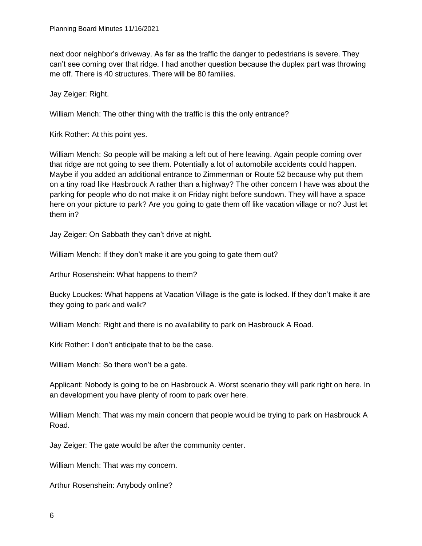next door neighbor's driveway. As far as the traffic the danger to pedestrians is severe. They can't see coming over that ridge. I had another question because the duplex part was throwing me off. There is 40 structures. There will be 80 families.

Jay Zeiger: Right.

William Mench: The other thing with the traffic is this the only entrance?

Kirk Rother: At this point yes.

William Mench: So people will be making a left out of here leaving. Again people coming over that ridge are not going to see them. Potentially a lot of automobile accidents could happen. Maybe if you added an additional entrance to Zimmerman or Route 52 because why put them on a tiny road like Hasbrouck A rather than a highway? The other concern I have was about the parking for people who do not make it on Friday night before sundown. They will have a space here on your picture to park? Are you going to gate them off like vacation village or no? Just let them in?

Jay Zeiger: On Sabbath they can't drive at night.

William Mench: If they don't make it are you going to gate them out?

Arthur Rosenshein: What happens to them?

Bucky Louckes: What happens at Vacation Village is the gate is locked. If they don't make it are they going to park and walk?

William Mench: Right and there is no availability to park on Hasbrouck A Road.

Kirk Rother: I don't anticipate that to be the case.

William Mench: So there won't be a gate.

Applicant: Nobody is going to be on Hasbrouck A. Worst scenario they will park right on here. In an development you have plenty of room to park over here.

William Mench: That was my main concern that people would be trying to park on Hasbrouck A Road.

Jay Zeiger: The gate would be after the community center.

William Mench: That was my concern.

Arthur Rosenshein: Anybody online?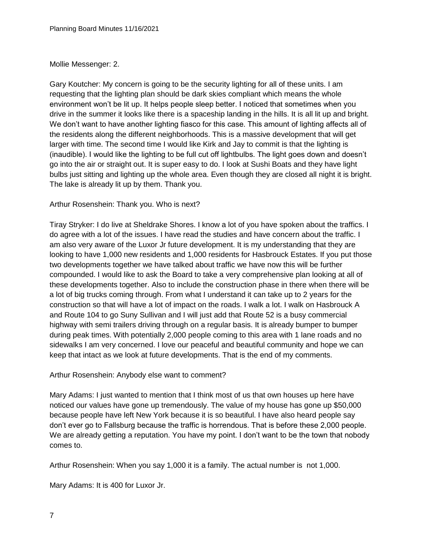#### Mollie Messenger: 2.

Gary Koutcher: My concern is going to be the security lighting for all of these units. I am requesting that the lighting plan should be dark skies compliant which means the whole environment won't be lit up. It helps people sleep better. I noticed that sometimes when you drive in the summer it looks like there is a spaceship landing in the hills. It is all lit up and bright. We don't want to have another lighting fiasco for this case. This amount of lighting affects all of the residents along the different neighborhoods. This is a massive development that will get larger with time. The second time I would like Kirk and Jay to commit is that the lighting is (inaudible). I would like the lighting to be full cut off lightbulbs. The light goes down and doesn't go into the air or straight out. It is super easy to do. I look at Sushi Boats and they have light bulbs just sitting and lighting up the whole area. Even though they are closed all night it is bright. The lake is already lit up by them. Thank you.

### Arthur Rosenshein: Thank you. Who is next?

Tiray Stryker: I do live at Sheldrake Shores. I know a lot of you have spoken about the traffics. I do agree with a lot of the issues. I have read the studies and have concern about the traffic. I am also very aware of the Luxor Jr future development. It is my understanding that they are looking to have 1,000 new residents and 1,000 residents for Hasbrouck Estates. If you put those two developments together we have talked about traffic we have now this will be further compounded. I would like to ask the Board to take a very comprehensive plan looking at all of these developments together. Also to include the construction phase in there when there will be a lot of big trucks coming through. From what I understand it can take up to 2 years for the construction so that will have a lot of impact on the roads. I walk a lot. I walk on Hasbrouck A and Route 104 to go Suny Sullivan and I will just add that Route 52 is a busy commercial highway with semi trailers driving through on a regular basis. It is already bumper to bumper during peak times. With potentially 2,000 people coming to this area with 1 lane roads and no sidewalks I am very concerned. I love our peaceful and beautiful community and hope we can keep that intact as we look at future developments. That is the end of my comments.

#### Arthur Rosenshein: Anybody else want to comment?

Mary Adams: I just wanted to mention that I think most of us that own houses up here have noticed our values have gone up tremendously. The value of my house has gone up \$50,000 because people have left New York because it is so beautiful. I have also heard people say don't ever go to Fallsburg because the traffic is horrendous. That is before these 2,000 people. We are already getting a reputation. You have my point. I don't want to be the town that nobody comes to.

Arthur Rosenshein: When you say 1,000 it is a family. The actual number is not 1,000.

Mary Adams: It is 400 for Luxor Jr.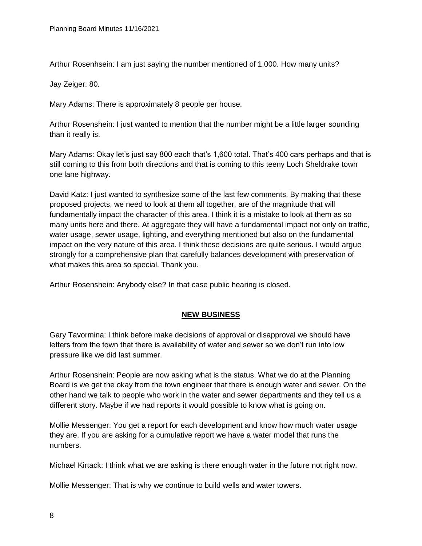Arthur Rosenhsein: I am just saying the number mentioned of 1,000. How many units?

Jay Zeiger: 80.

Mary Adams: There is approximately 8 people per house.

Arthur Rosenshein: I just wanted to mention that the number might be a little larger sounding than it really is.

Mary Adams: Okay let's just say 800 each that's 1,600 total. That's 400 cars perhaps and that is still coming to this from both directions and that is coming to this teeny Loch Sheldrake town one lane highway.

David Katz: I just wanted to synthesize some of the last few comments. By making that these proposed projects, we need to look at them all together, are of the magnitude that will fundamentally impact the character of this area. I think it is a mistake to look at them as so many units here and there. At aggregate they will have a fundamental impact not only on traffic, water usage, sewer usage, lighting, and everything mentioned but also on the fundamental impact on the very nature of this area. I think these decisions are quite serious. I would argue strongly for a comprehensive plan that carefully balances development with preservation of what makes this area so special. Thank you.

Arthur Rosenshein: Anybody else? In that case public hearing is closed.

#### **NEW BUSINESS**

Gary Tavormina: I think before make decisions of approval or disapproval we should have letters from the town that there is availability of water and sewer so we don't run into low pressure like we did last summer.

Arthur Rosenshein: People are now asking what is the status. What we do at the Planning Board is we get the okay from the town engineer that there is enough water and sewer. On the other hand we talk to people who work in the water and sewer departments and they tell us a different story. Maybe if we had reports it would possible to know what is going on.

Mollie Messenger: You get a report for each development and know how much water usage they are. If you are asking for a cumulative report we have a water model that runs the numbers.

Michael Kirtack: I think what we are asking is there enough water in the future not right now.

Mollie Messenger: That is why we continue to build wells and water towers.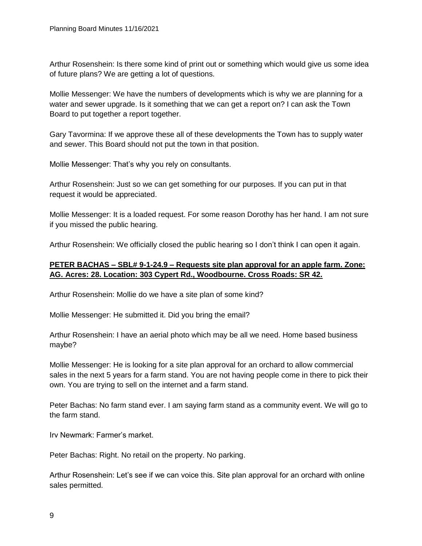Arthur Rosenshein: Is there some kind of print out or something which would give us some idea of future plans? We are getting a lot of questions.

Mollie Messenger: We have the numbers of developments which is why we are planning for a water and sewer upgrade. Is it something that we can get a report on? I can ask the Town Board to put together a report together.

Gary Tavormina: If we approve these all of these developments the Town has to supply water and sewer. This Board should not put the town in that position.

Mollie Messenger: That's why you rely on consultants.

Arthur Rosenshein: Just so we can get something for our purposes. If you can put in that request it would be appreciated.

Mollie Messenger: It is a loaded request. For some reason Dorothy has her hand. I am not sure if you missed the public hearing.

Arthur Rosenshein: We officially closed the public hearing so I don't think I can open it again.

### **PETER BACHAS – SBL# 9-1-24.9 – Requests site plan approval for an apple farm. Zone: AG. Acres: 28. Location: 303 Cypert Rd., Woodbourne. Cross Roads: SR 42.**

Arthur Rosenshein: Mollie do we have a site plan of some kind?

Mollie Messenger: He submitted it. Did you bring the email?

Arthur Rosenshein: I have an aerial photo which may be all we need. Home based business maybe?

Mollie Messenger: He is looking for a site plan approval for an orchard to allow commercial sales in the next 5 years for a farm stand. You are not having people come in there to pick their own. You are trying to sell on the internet and a farm stand.

Peter Bachas: No farm stand ever. I am saying farm stand as a community event. We will go to the farm stand.

Irv Newmark: Farmer's market.

Peter Bachas: Right. No retail on the property. No parking.

Arthur Rosenshein: Let's see if we can voice this. Site plan approval for an orchard with online sales permitted.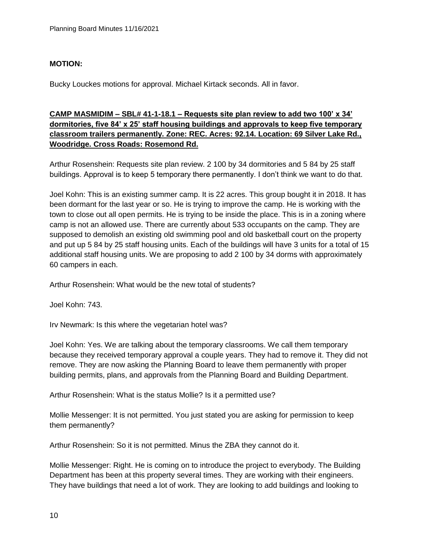### **MOTION:**

Bucky Louckes motions for approval. Michael Kirtack seconds. All in favor.

## **CAMP MASMIDIM – SBL# 41-1-18.1 – Requests site plan review to add two 100' x 34' dormitories, five 84' x 25' staff housing buildings and approvals to keep five temporary classroom trailers permanently. Zone: REC. Acres: 92.14. Location: 69 Silver Lake Rd., Woodridge. Cross Roads: Rosemond Rd.**

Arthur Rosenshein: Requests site plan review. 2 100 by 34 dormitories and 5 84 by 25 staff buildings. Approval is to keep 5 temporary there permanently. I don't think we want to do that.

Joel Kohn: This is an existing summer camp. It is 22 acres. This group bought it in 2018. It has been dormant for the last year or so. He is trying to improve the camp. He is working with the town to close out all open permits. He is trying to be inside the place. This is in a zoning where camp is not an allowed use. There are currently about 533 occupants on the camp. They are supposed to demolish an existing old swimming pool and old basketball court on the property and put up 5 84 by 25 staff housing units. Each of the buildings will have 3 units for a total of 15 additional staff housing units. We are proposing to add 2 100 by 34 dorms with approximately 60 campers in each.

Arthur Rosenshein: What would be the new total of students?

Joel Kohn: 743.

Irv Newmark: Is this where the vegetarian hotel was?

Joel Kohn: Yes. We are talking about the temporary classrooms. We call them temporary because they received temporary approval a couple years. They had to remove it. They did not remove. They are now asking the Planning Board to leave them permanently with proper building permits, plans, and approvals from the Planning Board and Building Department.

Arthur Rosenshein: What is the status Mollie? Is it a permitted use?

Mollie Messenger: It is not permitted. You just stated you are asking for permission to keep them permanently?

Arthur Rosenshein: So it is not permitted. Minus the ZBA they cannot do it.

Mollie Messenger: Right. He is coming on to introduce the project to everybody. The Building Department has been at this property several times. They are working with their engineers. They have buildings that need a lot of work. They are looking to add buildings and looking to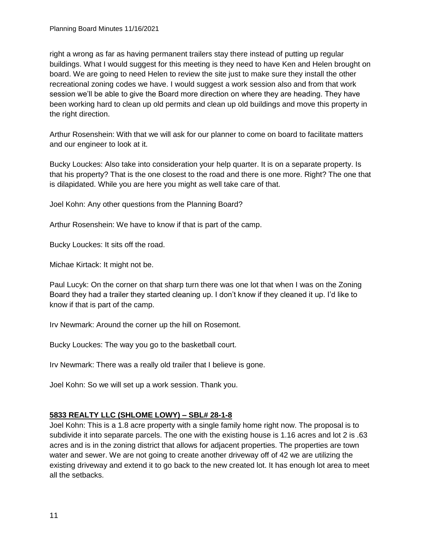right a wrong as far as having permanent trailers stay there instead of putting up regular buildings. What I would suggest for this meeting is they need to have Ken and Helen brought on board. We are going to need Helen to review the site just to make sure they install the other recreational zoning codes we have. I would suggest a work session also and from that work session we'll be able to give the Board more direction on where they are heading. They have been working hard to clean up old permits and clean up old buildings and move this property in the right direction.

Arthur Rosenshein: With that we will ask for our planner to come on board to facilitate matters and our engineer to look at it.

Bucky Louckes: Also take into consideration your help quarter. It is on a separate property. Is that his property? That is the one closest to the road and there is one more. Right? The one that is dilapidated. While you are here you might as well take care of that.

Joel Kohn: Any other questions from the Planning Board?

Arthur Rosenshein: We have to know if that is part of the camp.

Bucky Louckes: It sits off the road.

Michae Kirtack: It might not be.

Paul Lucyk: On the corner on that sharp turn there was one lot that when I was on the Zoning Board they had a trailer they started cleaning up. I don't know if they cleaned it up. I'd like to know if that is part of the camp.

Irv Newmark: Around the corner up the hill on Rosemont.

Bucky Louckes: The way you go to the basketball court.

Irv Newmark: There was a really old trailer that I believe is gone.

Joel Kohn: So we will set up a work session. Thank you.

### **5833 REALTY LLC (SHLOME LOWY) – SBL# 28-1-8**

Joel Kohn: This is a 1.8 acre property with a single family home right now. The proposal is to subdivide it into separate parcels. The one with the existing house is 1.16 acres and lot 2 is .63 acres and is in the zoning district that allows for adjacent properties. The properties are town water and sewer. We are not going to create another driveway off of 42 we are utilizing the existing driveway and extend it to go back to the new created lot. It has enough lot area to meet all the setbacks.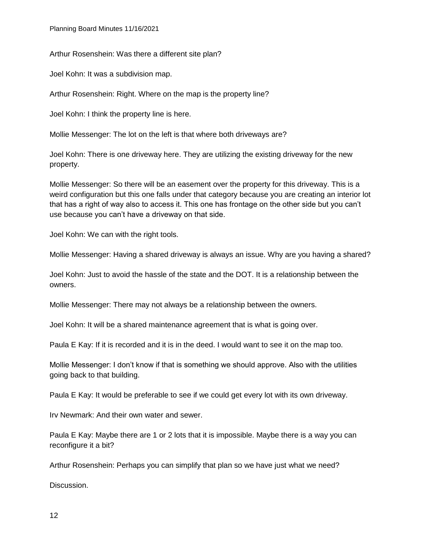Arthur Rosenshein: Was there a different site plan?

Joel Kohn: It was a subdivision map.

Arthur Rosenshein: Right. Where on the map is the property line?

Joel Kohn: I think the property line is here.

Mollie Messenger: The lot on the left is that where both driveways are?

Joel Kohn: There is one driveway here. They are utilizing the existing driveway for the new property.

Mollie Messenger: So there will be an easement over the property for this driveway. This is a weird configuration but this one falls under that category because you are creating an interior lot that has a right of way also to access it. This one has frontage on the other side but you can't use because you can't have a driveway on that side.

Joel Kohn: We can with the right tools.

Mollie Messenger: Having a shared driveway is always an issue. Why are you having a shared?

Joel Kohn: Just to avoid the hassle of the state and the DOT. It is a relationship between the owners.

Mollie Messenger: There may not always be a relationship between the owners.

Joel Kohn: It will be a shared maintenance agreement that is what is going over.

Paula E Kay: If it is recorded and it is in the deed. I would want to see it on the map too.

Mollie Messenger: I don't know if that is something we should approve. Also with the utilities going back to that building.

Paula E Kay: It would be preferable to see if we could get every lot with its own driveway.

Irv Newmark: And their own water and sewer.

Paula E Kay: Maybe there are 1 or 2 lots that it is impossible. Maybe there is a way you can reconfigure it a bit?

Arthur Rosenshein: Perhaps you can simplify that plan so we have just what we need?

Discussion.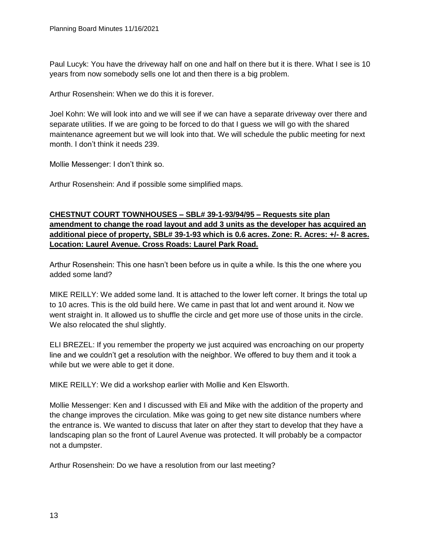Paul Lucyk: You have the driveway half on one and half on there but it is there. What I see is 10 years from now somebody sells one lot and then there is a big problem.

Arthur Rosenshein: When we do this it is forever.

Joel Kohn: We will look into and we will see if we can have a separate driveway over there and separate utilities. If we are going to be forced to do that I guess we will go with the shared maintenance agreement but we will look into that. We will schedule the public meeting for next month. I don't think it needs 239.

Mollie Messenger: I don't think so.

Arthur Rosenshein: And if possible some simplified maps.

**CHESTNUT COURT TOWNHOUSES – SBL# 39-1-93/94/95 – Requests site plan amendment to change the road layout and add 3 units as the developer has acquired an additional piece of property, SBL# 39-1-93 which is 0.6 acres. Zone: R. Acres: +/- 8 acres. Location: Laurel Avenue. Cross Roads: Laurel Park Road.**

Arthur Rosenshein: This one hasn't been before us in quite a while. Is this the one where you added some land?

MIKE REILLY: We added some land. It is attached to the lower left corner. It brings the total up to 10 acres. This is the old build here. We came in past that lot and went around it. Now we went straight in. It allowed us to shuffle the circle and get more use of those units in the circle. We also relocated the shul slightly.

ELI BREZEL: If you remember the property we just acquired was encroaching on our property line and we couldn't get a resolution with the neighbor. We offered to buy them and it took a while but we were able to get it done.

MIKE REILLY: We did a workshop earlier with Mollie and Ken Elsworth.

Mollie Messenger: Ken and I discussed with Eli and Mike with the addition of the property and the change improves the circulation. Mike was going to get new site distance numbers where the entrance is. We wanted to discuss that later on after they start to develop that they have a landscaping plan so the front of Laurel Avenue was protected. It will probably be a compactor not a dumpster.

Arthur Rosenshein: Do we have a resolution from our last meeting?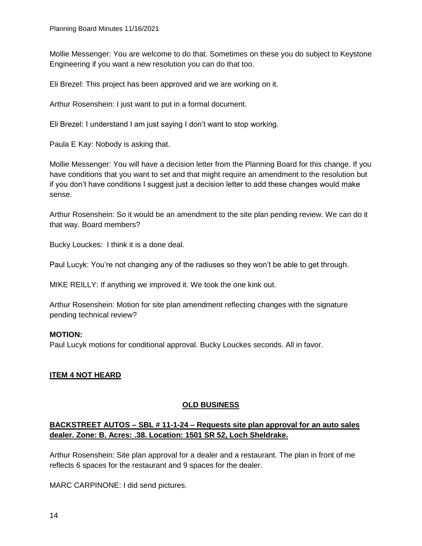Mollie Messenger: You are welcome to do that. Sometimes on these you do subject to Keystone Engineering if you want a new resolution you can do that too.

Eli Brezel: This project has been approved and we are working on it.

Arthur Rosenshein: I just want to put in a formal document.

Eli Brezel: I understand I am just saying I don't want to stop working.

Paula E Kay: Nobody is asking that.

Mollie Messenger: You will have a decision letter from the Planning Board for this change. If you have conditions that you want to set and that might require an amendment to the resolution but if you don't have conditions I suggest just a decision letter to add these changes would make sense.

Arthur Rosenshein: So it would be an amendment to the site plan pending review. We can do it that way. Board members?

Bucky Louckes: I think it is a done deal.

Paul Lucyk: You're not changing any of the radiuses so they won't be able to get through.

MIKE REILLY: If anything we improved it. We took the one kink out.

Arthur Rosenshein: Motion for site plan amendment reflecting changes with the signature pending technical review?

#### **MOTION:**

Paul Lucyk motions for conditional approval. Bucky Louckes seconds. All in favor.

#### **ITEM 4 NOT HEARD**

#### **OLD BUSINESS**

## **BACKSTREET AUTOS – SBL # 11-1-24 – Requests site plan approval for an auto sales dealer. Zone: B. Acres: .38. Location: 1501 SR 52, Loch Sheldrake.**

Arthur Rosenshein: Site plan approval for a dealer and a restaurant. The plan in front of me reflects 6 spaces for the restaurant and 9 spaces for the dealer.

MARC CARPINONE: I did send pictures.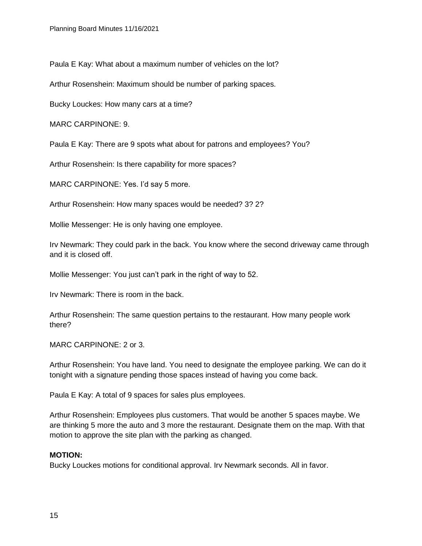Paula E Kay: What about a maximum number of vehicles on the lot?

Arthur Rosenshein: Maximum should be number of parking spaces.

Bucky Louckes: How many cars at a time?

MARC CARPINONE: 9.

Paula E Kay: There are 9 spots what about for patrons and employees? You?

Arthur Rosenshein: Is there capability for more spaces?

MARC CARPINONE: Yes. I'd say 5 more.

Arthur Rosenshein: How many spaces would be needed? 3? 2?

Mollie Messenger: He is only having one employee.

Irv Newmark: They could park in the back. You know where the second driveway came through and it is closed off.

Mollie Messenger: You just can't park in the right of way to 52.

Irv Newmark: There is room in the back.

Arthur Rosenshein: The same question pertains to the restaurant. How many people work there?

MARC CARPINONE: 2 or 3.

Arthur Rosenshein: You have land. You need to designate the employee parking. We can do it tonight with a signature pending those spaces instead of having you come back.

Paula E Kay: A total of 9 spaces for sales plus employees.

Arthur Rosenshein: Employees plus customers. That would be another 5 spaces maybe. We are thinking 5 more the auto and 3 more the restaurant. Designate them on the map. With that motion to approve the site plan with the parking as changed.

### **MOTION:**

Bucky Louckes motions for conditional approval. Irv Newmark seconds. All in favor.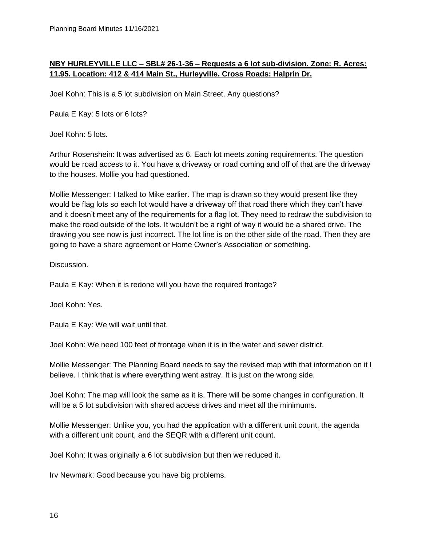### **NBY HURLEYVILLE LLC – SBL# 26-1-36 – Requests a 6 lot sub-division. Zone: R. Acres: 11.95. Location: 412 & 414 Main St., Hurleyville. Cross Roads: Halprin Dr.**

Joel Kohn: This is a 5 lot subdivision on Main Street. Any questions?

Paula E Kay: 5 lots or 6 lots?

Joel Kohn: 5 lots.

Arthur Rosenshein: It was advertised as 6. Each lot meets zoning requirements. The question would be road access to it. You have a driveway or road coming and off of that are the driveway to the houses. Mollie you had questioned.

Mollie Messenger: I talked to Mike earlier. The map is drawn so they would present like they would be flag lots so each lot would have a driveway off that road there which they can't have and it doesn't meet any of the requirements for a flag lot. They need to redraw the subdivision to make the road outside of the lots. It wouldn't be a right of way it would be a shared drive. The drawing you see now is just incorrect. The lot line is on the other side of the road. Then they are going to have a share agreement or Home Owner's Association or something.

Discussion.

Paula E Kay: When it is redone will you have the required frontage?

Joel Kohn: Yes.

Paula E Kay: We will wait until that.

Joel Kohn: We need 100 feet of frontage when it is in the water and sewer district.

Mollie Messenger: The Planning Board needs to say the revised map with that information on it I believe. I think that is where everything went astray. It is just on the wrong side.

Joel Kohn: The map will look the same as it is. There will be some changes in configuration. It will be a 5 lot subdivision with shared access drives and meet all the minimums.

Mollie Messenger: Unlike you, you had the application with a different unit count, the agenda with a different unit count, and the SEQR with a different unit count.

Joel Kohn: It was originally a 6 lot subdivision but then we reduced it.

Irv Newmark: Good because you have big problems.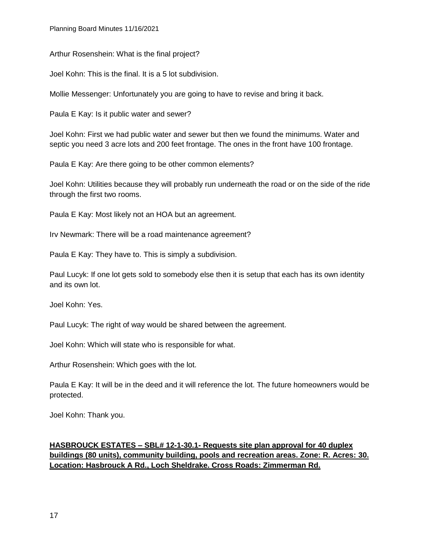Planning Board Minutes 11/16/2021

Arthur Rosenshein: What is the final project?

Joel Kohn: This is the final. It is a 5 lot subdivision.

Mollie Messenger: Unfortunately you are going to have to revise and bring it back.

Paula E Kay: Is it public water and sewer?

Joel Kohn: First we had public water and sewer but then we found the minimums. Water and septic you need 3 acre lots and 200 feet frontage. The ones in the front have 100 frontage.

Paula E Kay: Are there going to be other common elements?

Joel Kohn: Utilities because they will probably run underneath the road or on the side of the ride through the first two rooms.

Paula E Kay: Most likely not an HOA but an agreement.

Irv Newmark: There will be a road maintenance agreement?

Paula E Kay: They have to. This is simply a subdivision.

Paul Lucyk: If one lot gets sold to somebody else then it is setup that each has its own identity and its own lot.

Joel Kohn: Yes.

Paul Lucyk: The right of way would be shared between the agreement.

Joel Kohn: Which will state who is responsible for what.

Arthur Rosenshein: Which goes with the lot.

Paula E Kay: It will be in the deed and it will reference the lot. The future homeowners would be protected.

Joel Kohn: Thank you.

# **HASBROUCK ESTATES – SBL# 12-1-30.1- Requests site plan approval for 40 duplex buildings (80 units), community building, pools and recreation areas. Zone: R. Acres: 30. Location: Hasbrouck A Rd., Loch Sheldrake. Cross Roads: Zimmerman Rd.**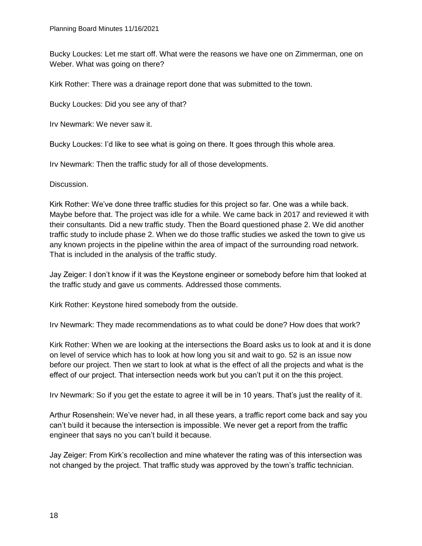Bucky Louckes: Let me start off. What were the reasons we have one on Zimmerman, one on Weber. What was going on there?

Kirk Rother: There was a drainage report done that was submitted to the town.

Bucky Louckes: Did you see any of that?

Irv Newmark: We never saw it.

Bucky Louckes: I'd like to see what is going on there. It goes through this whole area.

Irv Newmark: Then the traffic study for all of those developments.

Discussion.

Kirk Rother: We've done three traffic studies for this project so far. One was a while back. Maybe before that. The project was idle for a while. We came back in 2017 and reviewed it with their consultants. Did a new traffic study. Then the Board questioned phase 2. We did another traffic study to include phase 2. When we do those traffic studies we asked the town to give us any known projects in the pipeline within the area of impact of the surrounding road network. That is included in the analysis of the traffic study.

Jay Zeiger: I don't know if it was the Keystone engineer or somebody before him that looked at the traffic study and gave us comments. Addressed those comments.

Kirk Rother: Keystone hired somebody from the outside.

Irv Newmark: They made recommendations as to what could be done? How does that work?

Kirk Rother: When we are looking at the intersections the Board asks us to look at and it is done on level of service which has to look at how long you sit and wait to go. 52 is an issue now before our project. Then we start to look at what is the effect of all the projects and what is the effect of our project. That intersection needs work but you can't put it on the this project.

Irv Newmark: So if you get the estate to agree it will be in 10 years. That's just the reality of it.

Arthur Rosenshein: We've never had, in all these years, a traffic report come back and say you can't build it because the intersection is impossible. We never get a report from the traffic engineer that says no you can't build it because.

Jay Zeiger: From Kirk's recollection and mine whatever the rating was of this intersection was not changed by the project. That traffic study was approved by the town's traffic technician.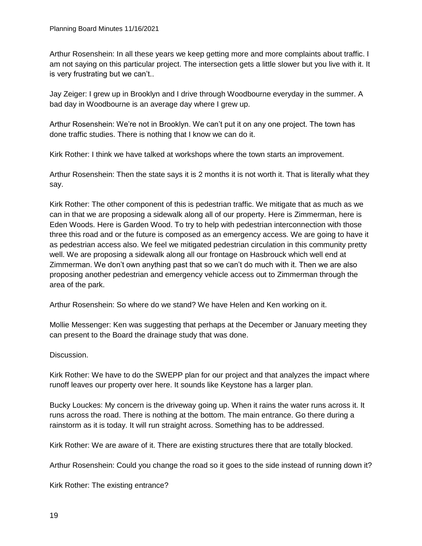Arthur Rosenshein: In all these years we keep getting more and more complaints about traffic. I am not saying on this particular project. The intersection gets a little slower but you live with it. It is very frustrating but we can't..

Jay Zeiger: I grew up in Brooklyn and I drive through Woodbourne everyday in the summer. A bad day in Woodbourne is an average day where I grew up.

Arthur Rosenshein: We're not in Brooklyn. We can't put it on any one project. The town has done traffic studies. There is nothing that I know we can do it.

Kirk Rother: I think we have talked at workshops where the town starts an improvement.

Arthur Rosenshein: Then the state says it is 2 months it is not worth it. That is literally what they say.

Kirk Rother: The other component of this is pedestrian traffic. We mitigate that as much as we can in that we are proposing a sidewalk along all of our property. Here is Zimmerman, here is Eden Woods. Here is Garden Wood. To try to help with pedestrian interconnection with those three this road and or the future is composed as an emergency access. We are going to have it as pedestrian access also. We feel we mitigated pedestrian circulation in this community pretty well. We are proposing a sidewalk along all our frontage on Hasbrouck which well end at Zimmerman. We don't own anything past that so we can't do much with it. Then we are also proposing another pedestrian and emergency vehicle access out to Zimmerman through the area of the park.

Arthur Rosenshein: So where do we stand? We have Helen and Ken working on it.

Mollie Messenger: Ken was suggesting that perhaps at the December or January meeting they can present to the Board the drainage study that was done.

Discussion.

Kirk Rother: We have to do the SWEPP plan for our project and that analyzes the impact where runoff leaves our property over here. It sounds like Keystone has a larger plan.

Bucky Louckes: My concern is the driveway going up. When it rains the water runs across it. It runs across the road. There is nothing at the bottom. The main entrance. Go there during a rainstorm as it is today. It will run straight across. Something has to be addressed.

Kirk Rother: We are aware of it. There are existing structures there that are totally blocked.

Arthur Rosenshein: Could you change the road so it goes to the side instead of running down it?

Kirk Rother: The existing entrance?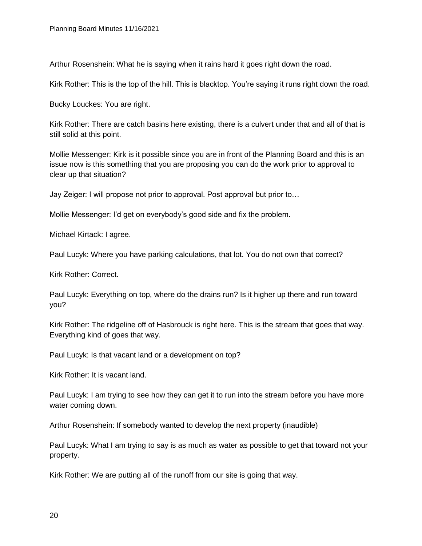Arthur Rosenshein: What he is saying when it rains hard it goes right down the road.

Kirk Rother: This is the top of the hill. This is blacktop. You're saying it runs right down the road.

Bucky Louckes: You are right.

Kirk Rother: There are catch basins here existing, there is a culvert under that and all of that is still solid at this point.

Mollie Messenger: Kirk is it possible since you are in front of the Planning Board and this is an issue now is this something that you are proposing you can do the work prior to approval to clear up that situation?

Jay Zeiger: I will propose not prior to approval. Post approval but prior to…

Mollie Messenger: I'd get on everybody's good side and fix the problem.

Michael Kirtack: I agree.

Paul Lucyk: Where you have parking calculations, that lot. You do not own that correct?

Kirk Rother: Correct.

Paul Lucyk: Everything on top, where do the drains run? Is it higher up there and run toward you?

Kirk Rother: The ridgeline off of Hasbrouck is right here. This is the stream that goes that way. Everything kind of goes that way.

Paul Lucyk: Is that vacant land or a development on top?

Kirk Rother: It is vacant land.

Paul Lucyk: I am trying to see how they can get it to run into the stream before you have more water coming down.

Arthur Rosenshein: If somebody wanted to develop the next property (inaudible)

Paul Lucyk: What I am trying to say is as much as water as possible to get that toward not your property.

Kirk Rother: We are putting all of the runoff from our site is going that way.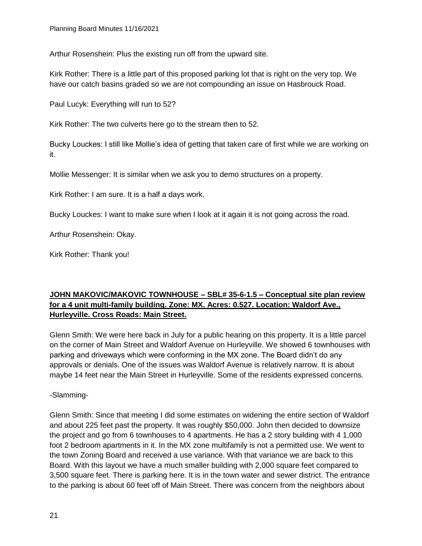Arthur Rosenshein: Plus the existing run off from the upward site.

Kirk Rother: There is a little part of this proposed parking lot that is right on the very top. We have our catch basins graded so we are not compounding an issue on Hasbrouck Road.

Paul Lucyk: Everything will run to 52?

Kirk Rother: The two culverts here go to the stream then to 52.

Bucky Louckes: I still like Mollie's idea of getting that taken care of first while we are working on it.

Mollie Messenger: It is similar when we ask you to demo structures on a property.

Kirk Rother: I am sure. It is a half a days work.

Bucky Louckes: I want to make sure when I look at it again it is not going across the road.

Arthur Rosenshein: Okay.

Kirk Rother: Thank you!

# **JOHN MAKOVIC/MAKOVIC TOWNHOUSE – SBL# 35-6-1.5 – Conceptual site plan review for a 4 unit multi-family building. Zone: MX. Acres: 0.527. Location: Waldorf Ave., Hurleyville. Cross Roads: Main Street.**

Glenn Smith: We were here back in July for a public hearing on this property. It is a little parcel on the corner of Main Street and Waldorf Avenue on Hurleyville. We showed 6 townhouses with parking and driveways which were conforming in the MX zone. The Board didn't do any approvals or denials. One of the issues was Waldorf Avenue is relatively narrow. It is about maybe 14 feet near the Main Street in Hurleyville. Some of the residents expressed concerns.

-Slamming-

Glenn Smith: Since that meeting I did some estimates on widening the entire section of Waldorf and about 225 feet past the property. It was roughly \$50,000. John then decided to downsize the project and go from 6 townhouses to 4 apartments. He has a 2 story building with 4 1,000 foot 2 bedroom apartments in it. In the MX zone multifamily is not a permitted use. We went to the town Zoning Board and received a use variance. With that variance we are back to this Board. With this layout we have a much smaller building with 2,000 square feet compared to 3,500 square feet. There is parking here. It is in the town water and sewer district. The entrance to the parking is about 60 feet off of Main Street. There was concern from the neighbors about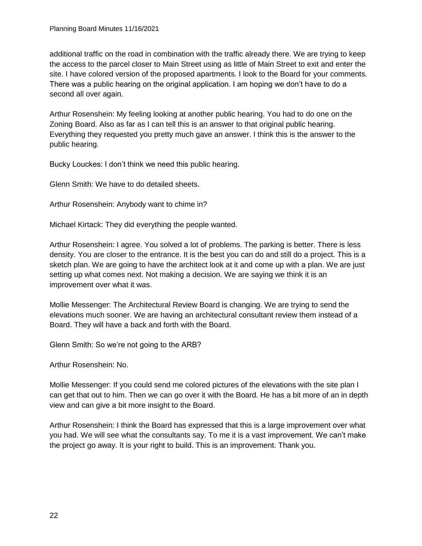additional traffic on the road in combination with the traffic already there. We are trying to keep the access to the parcel closer to Main Street using as little of Main Street to exit and enter the site. I have colored version of the proposed apartments. I look to the Board for your comments. There was a public hearing on the original application. I am hoping we don't have to do a second all over again.

Arthur Rosenshein: My feeling looking at another public hearing. You had to do one on the Zoning Board. Also as far as I can tell this is an answer to that original public hearing. Everything they requested you pretty much gave an answer. I think this is the answer to the public hearing.

Bucky Louckes: I don't think we need this public hearing.

Glenn Smith: We have to do detailed sheets.

Arthur Rosenshein: Anybody want to chime in?

Michael Kirtack: They did everything the people wanted.

Arthur Rosenshein: I agree. You solved a lot of problems. The parking is better. There is less density. You are closer to the entrance. It is the best you can do and still do a project. This is a sketch plan. We are going to have the architect look at it and come up with a plan. We are just setting up what comes next. Not making a decision. We are saying we think it is an improvement over what it was.

Mollie Messenger: The Architectural Review Board is changing. We are trying to send the elevations much sooner. We are having an architectural consultant review them instead of a Board. They will have a back and forth with the Board.

Glenn Smith: So we're not going to the ARB?

Arthur Rosenshein: No.

Mollie Messenger: If you could send me colored pictures of the elevations with the site plan I can get that out to him. Then we can go over it with the Board. He has a bit more of an in depth view and can give a bit more insight to the Board.

Arthur Rosenshein: I think the Board has expressed that this is a large improvement over what you had. We will see what the consultants say. To me it is a vast improvement. We can't make the project go away. It is your right to build. This is an improvement. Thank you.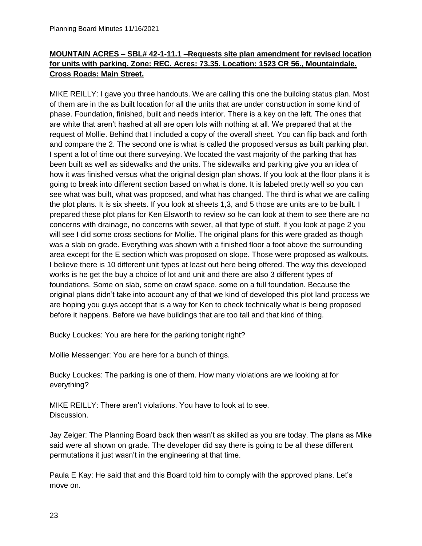# **MOUNTAIN ACRES – SBL# 42-1-11.1 –Requests site plan amendment for revised location for units with parking. Zone: REC. Acres: 73.35. Location: 1523 CR 56., Mountaindale. Cross Roads: Main Street.**

MIKE REILLY: I gave you three handouts. We are calling this one the building status plan. Most of them are in the as built location for all the units that are under construction in some kind of phase. Foundation, finished, built and needs interior. There is a key on the left. The ones that are white that aren't hashed at all are open lots with nothing at all. We prepared that at the request of Mollie. Behind that I included a copy of the overall sheet. You can flip back and forth and compare the 2. The second one is what is called the proposed versus as built parking plan. I spent a lot of time out there surveying. We located the vast majority of the parking that has been built as well as sidewalks and the units. The sidewalks and parking give you an idea of how it was finished versus what the original design plan shows. If you look at the floor plans it is going to break into different section based on what is done. It is labeled pretty well so you can see what was built, what was proposed, and what has changed. The third is what we are calling the plot plans. It is six sheets. If you look at sheets 1,3, and 5 those are units are to be built. I prepared these plot plans for Ken Elsworth to review so he can look at them to see there are no concerns with drainage, no concerns with sewer, all that type of stuff. If you look at page 2 you will see I did some cross sections for Mollie. The original plans for this were graded as though was a slab on grade. Everything was shown with a finished floor a foot above the surrounding area except for the E section which was proposed on slope. Those were proposed as walkouts. I believe there is 10 different unit types at least out here being offered. The way this developed works is he get the buy a choice of lot and unit and there are also 3 different types of foundations. Some on slab, some on crawl space, some on a full foundation. Because the original plans didn't take into account any of that we kind of developed this plot land process we are hoping you guys accept that is a way for Ken to check technically what is being proposed before it happens. Before we have buildings that are too tall and that kind of thing.

Bucky Louckes: You are here for the parking tonight right?

Mollie Messenger: You are here for a bunch of things.

Bucky Louckes: The parking is one of them. How many violations are we looking at for everything?

MIKE REILLY: There aren't violations. You have to look at to see. Discussion.

Jay Zeiger: The Planning Board back then wasn't as skilled as you are today. The plans as Mike said were all shown on grade. The developer did say there is going to be all these different permutations it just wasn't in the engineering at that time.

Paula E Kay: He said that and this Board told him to comply with the approved plans. Let's move on.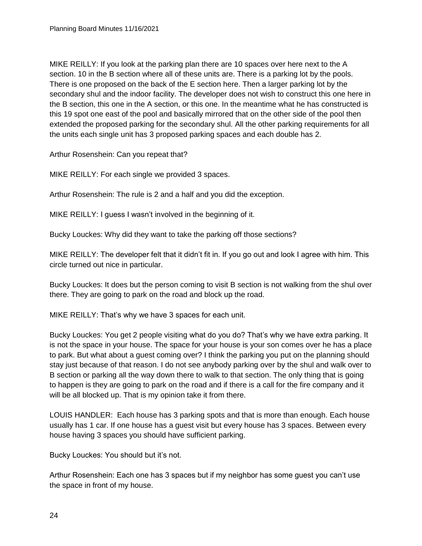MIKE REILLY: If you look at the parking plan there are 10 spaces over here next to the A section. 10 in the B section where all of these units are. There is a parking lot by the pools. There is one proposed on the back of the E section here. Then a larger parking lot by the secondary shul and the indoor facility. The developer does not wish to construct this one here in the B section, this one in the A section, or this one. In the meantime what he has constructed is this 19 spot one east of the pool and basically mirrored that on the other side of the pool then extended the proposed parking for the secondary shul. All the other parking requirements for all the units each single unit has 3 proposed parking spaces and each double has 2.

Arthur Rosenshein: Can you repeat that?

MIKE REILLY: For each single we provided 3 spaces.

Arthur Rosenshein: The rule is 2 and a half and you did the exception.

MIKE REILLY: I guess I wasn't involved in the beginning of it.

Bucky Louckes: Why did they want to take the parking off those sections?

MIKE REILLY: The developer felt that it didn't fit in. If you go out and look I agree with him. This circle turned out nice in particular.

Bucky Louckes: It does but the person coming to visit B section is not walking from the shul over there. They are going to park on the road and block up the road.

MIKE REILLY: That's why we have 3 spaces for each unit.

Bucky Louckes: You get 2 people visiting what do you do? That's why we have extra parking. It is not the space in your house. The space for your house is your son comes over he has a place to park. But what about a guest coming over? I think the parking you put on the planning should stay just because of that reason. I do not see anybody parking over by the shul and walk over to B section or parking all the way down there to walk to that section. The only thing that is going to happen is they are going to park on the road and if there is a call for the fire company and it will be all blocked up. That is my opinion take it from there.

LOUIS HANDLER: Each house has 3 parking spots and that is more than enough. Each house usually has 1 car. If one house has a guest visit but every house has 3 spaces. Between every house having 3 spaces you should have sufficient parking.

Bucky Louckes: You should but it's not.

Arthur Rosenshein: Each one has 3 spaces but if my neighbor has some guest you can't use the space in front of my house.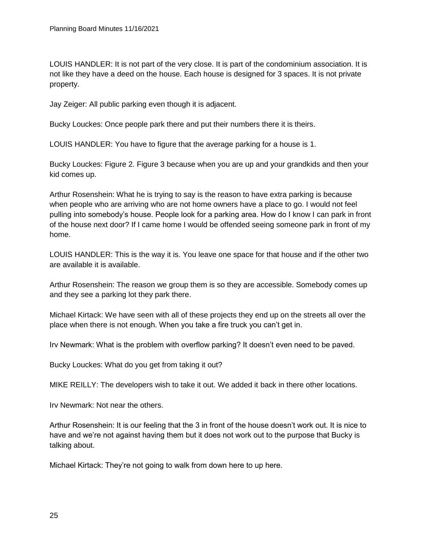LOUIS HANDLER: It is not part of the very close. It is part of the condominium association. It is not like they have a deed on the house. Each house is designed for 3 spaces. It is not private property.

Jay Zeiger: All public parking even though it is adjacent.

Bucky Louckes: Once people park there and put their numbers there it is theirs.

LOUIS HANDLER: You have to figure that the average parking for a house is 1.

Bucky Louckes: Figure 2. Figure 3 because when you are up and your grandkids and then your kid comes up.

Arthur Rosenshein: What he is trying to say is the reason to have extra parking is because when people who are arriving who are not home owners have a place to go. I would not feel pulling into somebody's house. People look for a parking area. How do I know I can park in front of the house next door? If I came home I would be offended seeing someone park in front of my home.

LOUIS HANDLER: This is the way it is. You leave one space for that house and if the other two are available it is available.

Arthur Rosenshein: The reason we group them is so they are accessible. Somebody comes up and they see a parking lot they park there.

Michael Kirtack: We have seen with all of these projects they end up on the streets all over the place when there is not enough. When you take a fire truck you can't get in.

Irv Newmark: What is the problem with overflow parking? It doesn't even need to be paved.

Bucky Louckes: What do you get from taking it out?

MIKE REILLY: The developers wish to take it out. We added it back in there other locations.

Irv Newmark: Not near the others.

Arthur Rosenshein: It is our feeling that the 3 in front of the house doesn't work out. It is nice to have and we're not against having them but it does not work out to the purpose that Bucky is talking about.

Michael Kirtack: They're not going to walk from down here to up here.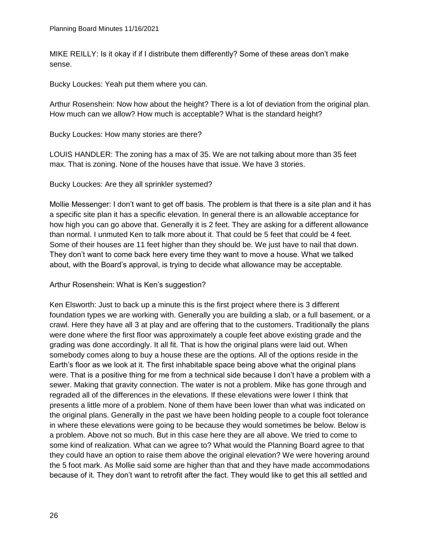MIKE REILLY: Is it okay if if I distribute them differently? Some of these areas don't make sense.

Bucky Louckes: Yeah put them where you can.

Arthur Rosenshein: Now how about the height? There is a lot of deviation from the original plan. How much can we allow? How much is acceptable? What is the standard height?

Bucky Louckes: How many stories are there?

LOUIS HANDLER: The zoning has a max of 35. We are not talking about more than 35 feet max. That is zoning. None of the houses have that issue. We have 3 stories.

Bucky Louckes: Are they all sprinkler systemed?

Mollie Messenger: I don't want to get off basis. The problem is that there is a site plan and it has a specific site plan it has a specific elevation. In general there is an allowable acceptance for how high you can go above that. Generally it is 2 feet. They are asking for a different allowance than normal. I unmuted Ken to talk more about it. That could be 5 feet that could be 4 feet. Some of their houses are 11 feet higher than they should be. We just have to nail that down. They don't want to come back here every time they want to move a house. What we talked about, with the Board's approval, is trying to decide what allowance may be acceptable.

Arthur Rosenshein: What is Ken's suggestion?

Ken Elsworth: Just to back up a minute this is the first project where there is 3 different foundation types we are working with. Generally you are building a slab, or a full basement, or a crawl. Here they have all 3 at play and are offering that to the customers. Traditionally the plans were done where the first floor was approximately a couple feet above existing grade and the grading was done accordingly. It all fit. That is how the original plans were laid out. When somebody comes along to buy a house these are the options. All of the options reside in the Earth's floor as we look at it. The first inhabitable space being above what the original plans were. That is a positive thing for me from a technical side because I don't have a problem with a sewer. Making that gravity connection. The water is not a problem. Mike has gone through and regraded all of the differences in the elevations. If these elevations were lower I think that presents a little more of a problem. None of them have been lower than what was indicated on the original plans. Generally in the past we have been holding people to a couple foot tolerance in where these elevations were going to be because they would sometimes be below. Below is a problem. Above not so much. But in this case here they are all above. We tried to come to some kind of realization. What can we agree to? What would the Planning Board agree to that they could have an option to raise them above the original elevation? We were hovering around the 5 foot mark. As Mollie said some are higher than that and they have made accommodations because of it. They don't want to retrofit after the fact. They would like to get this all settled and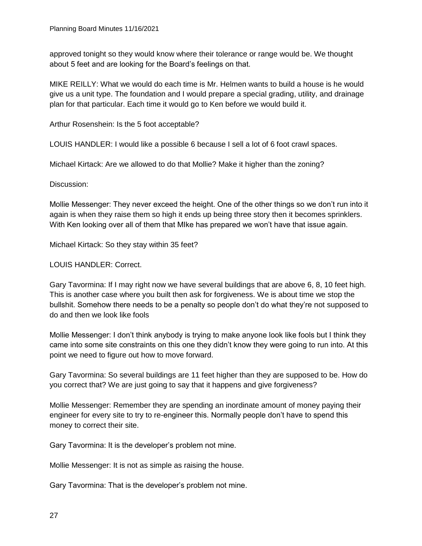approved tonight so they would know where their tolerance or range would be. We thought about 5 feet and are looking for the Board's feelings on that.

MIKE REILLY: What we would do each time is Mr. Helmen wants to build a house is he would give us a unit type. The foundation and I would prepare a special grading, utility, and drainage plan for that particular. Each time it would go to Ken before we would build it.

Arthur Rosenshein: Is the 5 foot acceptable?

LOUIS HANDLER: I would like a possible 6 because I sell a lot of 6 foot crawl spaces.

Michael Kirtack: Are we allowed to do that Mollie? Make it higher than the zoning?

Discussion:

Mollie Messenger: They never exceed the height. One of the other things so we don't run into it again is when they raise them so high it ends up being three story then it becomes sprinklers. With Ken looking over all of them that MIke has prepared we won't have that issue again.

Michael Kirtack: So they stay within 35 feet?

#### LOUIS HANDLER: Correct.

Gary Tavormina: If I may right now we have several buildings that are above 6, 8, 10 feet high. This is another case where you built then ask for forgiveness. We is about time we stop the bullshit. Somehow there needs to be a penalty so people don't do what they're not supposed to do and then we look like fools

Mollie Messenger: I don't think anybody is trying to make anyone look like fools but I think they came into some site constraints on this one they didn't know they were going to run into. At this point we need to figure out how to move forward.

Gary Tavormina: So several buildings are 11 feet higher than they are supposed to be. How do you correct that? We are just going to say that it happens and give forgiveness?

Mollie Messenger: Remember they are spending an inordinate amount of money paying their engineer for every site to try to re-engineer this. Normally people don't have to spend this money to correct their site.

Gary Tavormina: It is the developer's problem not mine.

Mollie Messenger: It is not as simple as raising the house.

Gary Tavormina: That is the developer's problem not mine.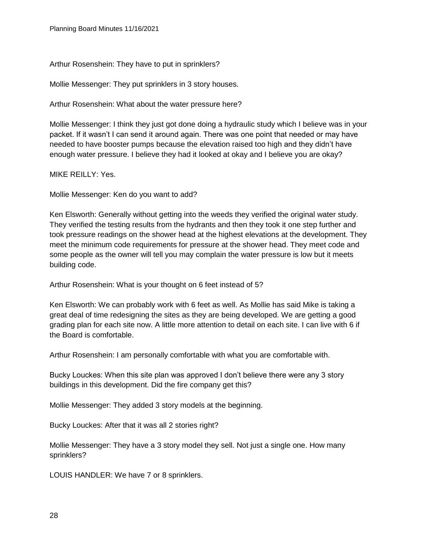Arthur Rosenshein: They have to put in sprinklers?

Mollie Messenger: They put sprinklers in 3 story houses.

Arthur Rosenshein: What about the water pressure here?

Mollie Messenger: I think they just got done doing a hydraulic study which I believe was in your packet. If it wasn't I can send it around again. There was one point that needed or may have needed to have booster pumps because the elevation raised too high and they didn't have enough water pressure. I believe they had it looked at okay and I believe you are okay?

MIKE REILLY: Yes.

Mollie Messenger: Ken do you want to add?

Ken Elsworth: Generally without getting into the weeds they verified the original water study. They verified the testing results from the hydrants and then they took it one step further and took pressure readings on the shower head at the highest elevations at the development. They meet the minimum code requirements for pressure at the shower head. They meet code and some people as the owner will tell you may complain the water pressure is low but it meets building code.

Arthur Rosenshein: What is your thought on 6 feet instead of 5?

Ken Elsworth: We can probably work with 6 feet as well. As Mollie has said Mike is taking a great deal of time redesigning the sites as they are being developed. We are getting a good grading plan for each site now. A little more attention to detail on each site. I can live with 6 if the Board is comfortable.

Arthur Rosenshein: I am personally comfortable with what you are comfortable with.

Bucky Louckes: When this site plan was approved I don't believe there were any 3 story buildings in this development. Did the fire company get this?

Mollie Messenger: They added 3 story models at the beginning.

Bucky Louckes: After that it was all 2 stories right?

Mollie Messenger: They have a 3 story model they sell. Not just a single one. How many sprinklers?

LOUIS HANDLER: We have 7 or 8 sprinklers.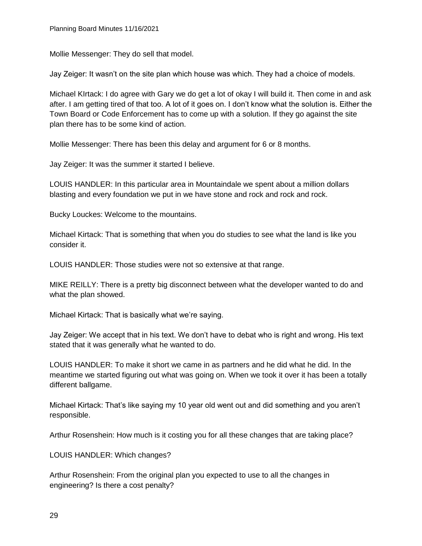Mollie Messenger: They do sell that model.

Jay Zeiger: It wasn't on the site plan which house was which. They had a choice of models.

Michael KIrtack: I do agree with Gary we do get a lot of okay I will build it. Then come in and ask after. I am getting tired of that too. A lot of it goes on. I don't know what the solution is. Either the Town Board or Code Enforcement has to come up with a solution. If they go against the site plan there has to be some kind of action.

Mollie Messenger: There has been this delay and argument for 6 or 8 months.

Jay Zeiger: It was the summer it started I believe.

LOUIS HANDLER: In this particular area in Mountaindale we spent about a million dollars blasting and every foundation we put in we have stone and rock and rock and rock.

Bucky Louckes: Welcome to the mountains.

Michael Kirtack: That is something that when you do studies to see what the land is like you consider it.

LOUIS HANDLER: Those studies were not so extensive at that range.

MIKE REILLY: There is a pretty big disconnect between what the developer wanted to do and what the plan showed.

Michael Kirtack: That is basically what we're saying.

Jay Zeiger: We accept that in his text. We don't have to debat who is right and wrong. His text stated that it was generally what he wanted to do.

LOUIS HANDLER: To make it short we came in as partners and he did what he did. In the meantime we started figuring out what was going on. When we took it over it has been a totally different ballgame.

Michael Kirtack: That's like saying my 10 year old went out and did something and you aren't responsible.

Arthur Rosenshein: How much is it costing you for all these changes that are taking place?

LOUIS HANDLER: Which changes?

Arthur Rosenshein: From the original plan you expected to use to all the changes in engineering? Is there a cost penalty?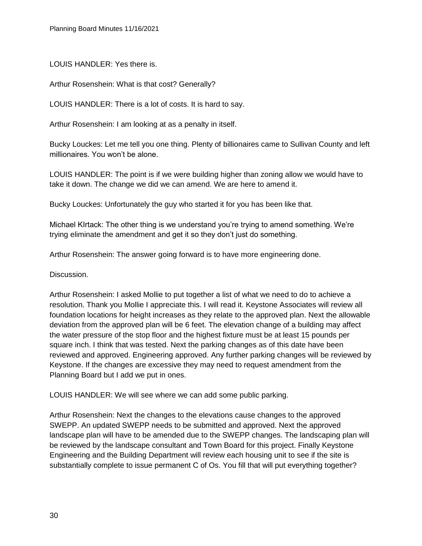LOUIS HANDLER: Yes there is.

Arthur Rosenshein: What is that cost? Generally?

LOUIS HANDLER: There is a lot of costs. It is hard to say.

Arthur Rosenshein: I am looking at as a penalty in itself.

Bucky Louckes: Let me tell you one thing. Plenty of billionaires came to Sullivan County and left millionaires. You won't be alone.

LOUIS HANDLER: The point is if we were building higher than zoning allow we would have to take it down. The change we did we can amend. We are here to amend it.

Bucky Louckes: Unfortunately the guy who started it for you has been like that.

Michael KIrtack: The other thing is we understand you're trying to amend something. We're trying eliminate the amendment and get it so they don't just do something.

Arthur Rosenshein: The answer going forward is to have more engineering done.

Discussion.

Arthur Rosenshein: I asked Mollie to put together a list of what we need to do to achieve a resolution. Thank you Mollie I appreciate this. I will read it. Keystone Associates will review all foundation locations for height increases as they relate to the approved plan. Next the allowable deviation from the approved plan will be 6 feet. The elevation change of a building may affect the water pressure of the stop floor and the highest fixture must be at least 15 pounds per square inch. I think that was tested. Next the parking changes as of this date have been reviewed and approved. Engineering approved. Any further parking changes will be reviewed by Keystone. If the changes are excessive they may need to request amendment from the Planning Board but I add we put in ones.

LOUIS HANDLER: We will see where we can add some public parking.

Arthur Rosenshein: Next the changes to the elevations cause changes to the approved SWEPP. An updated SWEPP needs to be submitted and approved. Next the approved landscape plan will have to be amended due to the SWEPP changes. The landscaping plan will be reviewed by the landscape consultant and Town Board for this project. Finally Keystone Engineering and the Building Department will review each housing unit to see if the site is substantially complete to issue permanent C of Os. You fill that will put everything together?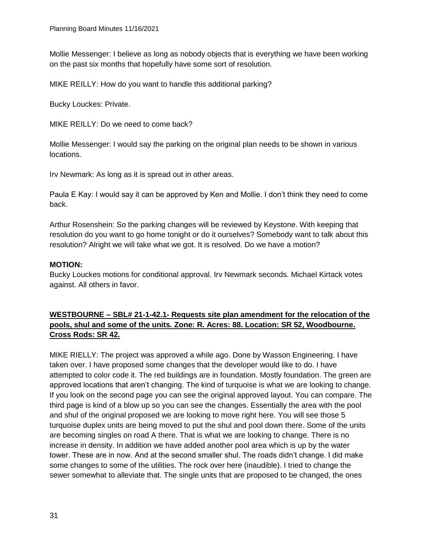Mollie Messenger: I believe as long as nobody objects that is everything we have been working on the past six months that hopefully have some sort of resolution.

MIKE REILLY: How do you want to handle this additional parking?

Bucky Louckes: Private.

MIKE REILLY: Do we need to come back?

Mollie Messenger: I would say the parking on the original plan needs to be shown in various locations.

Irv Newmark: As long as it is spread out in other areas.

Paula E Kay: I would say it can be approved by Ken and Mollie. I don't think they need to come back.

Arthur Rosenshein: So the parking changes will be reviewed by Keystone. With keeping that resolution do you want to go home tonight or do it ourselves? Somebody want to talk about this resolution? Alright we will take what we got. It is resolved. Do we have a motion?

### **MOTION:**

Bucky Louckes motions for conditional approval. Irv Newmark seconds. Michael Kirtack votes against. All others in favor.

# **WESTBOURNE – SBL# 21-1-42.1- Requests site plan amendment for the relocation of the pools, shul and some of the units. Zone: R. Acres: 88. Location: SR 52, Woodbourne. Cross Rods: SR 42.**

MIKE RIELLY: The project was approved a while ago. Done by Wasson Engineering. I have taken over. I have proposed some changes that the developer would like to do. I have attempted to color code it. The red buildings are in foundation. Mostly foundation. The green are approved locations that aren't changing. The kind of turquoise is what we are looking to change. If you look on the second page you can see the original approved layout. You can compare. The third page is kind of a blow up so you can see the changes. Essentially the area with the pool and shul of the original proposed we are looking to move right here. You will see those 5 turquoise duplex units are being moved to put the shul and pool down there. Some of the units are becoming singles on road A there. That is what we are looking to change. There is no increase in density. In addition we have added another pool area which is up by the water tower. These are in now. And at the second smaller shul. The roads didn't change. I did make some changes to some of the utilities. The rock over here (inaudible). I tried to change the sewer somewhat to alleviate that. The single units that are proposed to be changed, the ones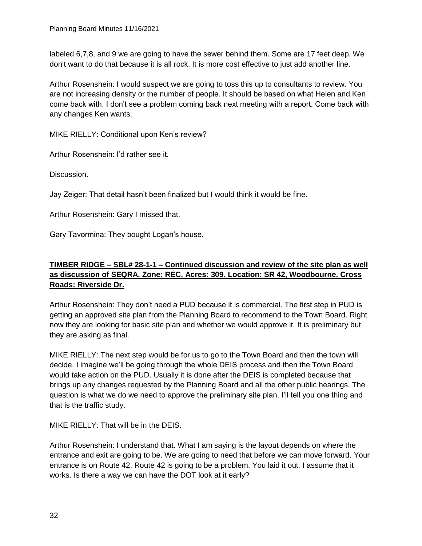labeled 6,7,8, and 9 we are going to have the sewer behind them. Some are 17 feet deep. We don't want to do that because it is all rock. It is more cost effective to just add another line.

Arthur Rosenshein: I would suspect we are going to toss this up to consultants to review. You are not increasing density or the number of people. It should be based on what Helen and Ken come back with. I don't see a problem coming back next meeting with a report. Come back with any changes Ken wants.

MIKE RIELLY: Conditional upon Ken's review?

Arthur Rosenshein: I'd rather see it.

Discussion.

Jay Zeiger: That detail hasn't been finalized but I would think it would be fine.

Arthur Rosenshein: Gary I missed that.

Gary Tavormina: They bought Logan's house.

# **TIMBER RIDGE – SBL# 28-1-1 – Continued discussion and review of the site plan as well as discussion of SEQRA. Zone: REC. Acres: 309. Location: SR 42, Woodbourne. Cross Roads: Riverside Dr.**

Arthur Rosenshein: They don't need a PUD because it is commercial. The first step in PUD is getting an approved site plan from the Planning Board to recommend to the Town Board. Right now they are looking for basic site plan and whether we would approve it. It is preliminary but they are asking as final.

MIKE RIELLY: The next step would be for us to go to the Town Board and then the town will decide. I imagine we'll be going through the whole DEIS process and then the Town Board would take action on the PUD. Usually it is done after the DEIS is completed because that brings up any changes requested by the Planning Board and all the other public hearings. The question is what we do we need to approve the preliminary site plan. I'll tell you one thing and that is the traffic study.

MIKE RIELLY: That will be in the DEIS.

Arthur Rosenshein: I understand that. What I am saying is the layout depends on where the entrance and exit are going to be. We are going to need that before we can move forward. Your entrance is on Route 42. Route 42 is going to be a problem. You laid it out. I assume that it works. Is there a way we can have the DOT look at it early?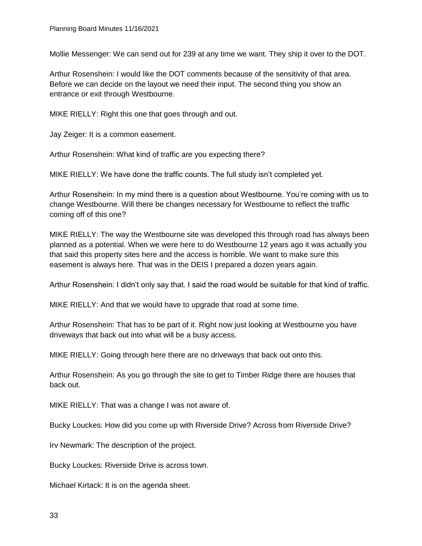Mollie Messenger: We can send out for 239 at any time we want. They ship it over to the DOT.

Arthur Rosenshein: I would like the DOT comments because of the sensitivity of that area. Before we can decide on the layout we need their input. The second thing you show an entrance or exit through Westbourne.

MIKE RIELLY: Right this one that goes through and out.

Jay Zeiger: It is a common easement.

Arthur Rosenshein: What kind of traffic are you expecting there?

MIKE RIELLY: We have done the traffic counts. The full study isn't completed yet.

Arthur Rosenshein: In my mind there is a question about Westbourne. You're coming with us to change Westbourne. Will there be changes necessary for Westbourne to reflect the traffic coming off of this one?

MIKE RIELLY: The way the Westbourne site was developed this through road has always been planned as a potential. When we were here to do Westbourne 12 years ago it was actually you that said this property sites here and the access is horrible. We want to make sure this easement is always here. That was in the DEIS I prepared a dozen years again.

Arthur Rosenshein: I didn't only say that. I said the road would be suitable for that kind of traffic.

MIKE RIELLY: And that we would have to upgrade that road at some time.

Arthur Rosenshein: That has to be part of it. Right now just looking at Westbourne you have driveways that back out into what will be a busy access.

MIKE RIELLY: Going through here there are no driveways that back out onto this.

Arthur Rosenshein: As you go through the site to get to Timber Ridge there are houses that back out.

MIKE RIELLY: That was a change I was not aware of.

Bucky Louckes: How did you come up with Riverside Drive? Across from Riverside Drive?

Irv Newmark: The description of the project.

Bucky Louckes: Riverside Drive is across town.

Michael Kirtack: It is on the agenda sheet.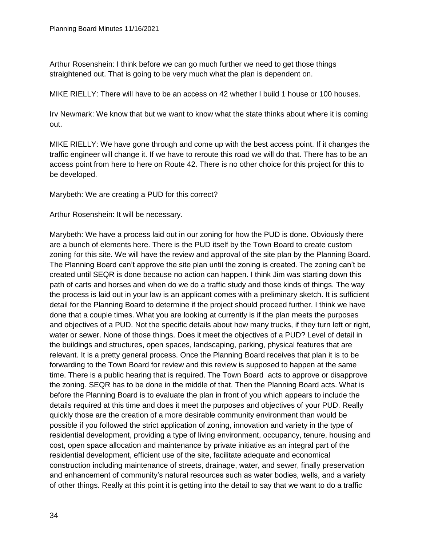Arthur Rosenshein: I think before we can go much further we need to get those things straightened out. That is going to be very much what the plan is dependent on.

MIKE RIELLY: There will have to be an access on 42 whether I build 1 house or 100 houses.

Irv Newmark: We know that but we want to know what the state thinks about where it is coming out.

MIKE RIELLY: We have gone through and come up with the best access point. If it changes the traffic engineer will change it. If we have to reroute this road we will do that. There has to be an access point from here to here on Route 42. There is no other choice for this project for this to be developed.

Marybeth: We are creating a PUD for this correct?

Arthur Rosenshein: It will be necessary.

Marybeth: We have a process laid out in our zoning for how the PUD is done. Obviously there are a bunch of elements here. There is the PUD itself by the Town Board to create custom zoning for this site. We will have the review and approval of the site plan by the Planning Board. The Planning Board can't approve the site plan until the zoning is created. The zoning can't be created until SEQR is done because no action can happen. I think Jim was starting down this path of carts and horses and when do we do a traffic study and those kinds of things. The way the process is laid out in your law is an applicant comes with a preliminary sketch. It is sufficient detail for the Planning Board to determine if the project should proceed further. I think we have done that a couple times. What you are looking at currently is if the plan meets the purposes and objectives of a PUD. Not the specific details about how many trucks, if they turn left or right, water or sewer. None of those things. Does it meet the objectives of a PUD? Level of detail in the buildings and structures, open spaces, landscaping, parking, physical features that are relevant. It is a pretty general process. Once the Planning Board receives that plan it is to be forwarding to the Town Board for review and this review is supposed to happen at the same time. There is a public hearing that is required. The Town Board acts to approve or disapprove the zoning. SEQR has to be done in the middle of that. Then the Planning Board acts. What is before the Planning Board is to evaluate the plan in front of you which appears to include the details required at this time and does it meet the purposes and objectives of your PUD. Really quickly those are the creation of a more desirable community environment than would be possible if you followed the strict application of zoning, innovation and variety in the type of residential development, providing a type of living environment, occupancy, tenure, housing and cost, open space allocation and maintenance by private initiative as an integral part of the residential development, efficient use of the site, facilitate adequate and economical construction including maintenance of streets, drainage, water, and sewer, finally preservation and enhancement of community's natural resources such as water bodies, wells, and a variety of other things. Really at this point it is getting into the detail to say that we want to do a traffic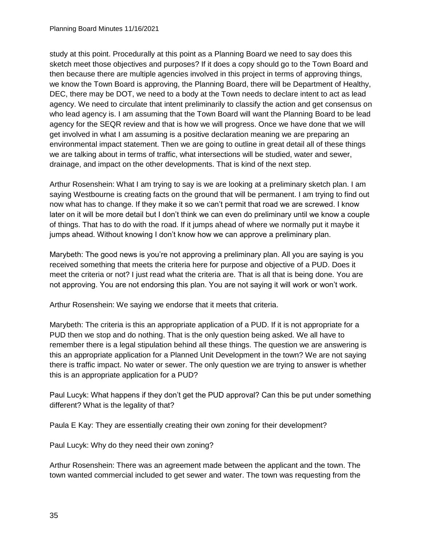study at this point. Procedurally at this point as a Planning Board we need to say does this sketch meet those objectives and purposes? If it does a copy should go to the Town Board and then because there are multiple agencies involved in this project in terms of approving things, we know the Town Board is approving, the Planning Board, there will be Department of Healthy, DEC, there may be DOT, we need to a body at the Town needs to declare intent to act as lead agency. We need to circulate that intent preliminarily to classify the action and get consensus on who lead agency is. I am assuming that the Town Board will want the Planning Board to be lead agency for the SEQR review and that is how we will progress. Once we have done that we will get involved in what I am assuming is a positive declaration meaning we are preparing an environmental impact statement. Then we are going to outline in great detail all of these things we are talking about in terms of traffic, what intersections will be studied, water and sewer, drainage, and impact on the other developments. That is kind of the next step.

Arthur Rosenshein: What I am trying to say is we are looking at a preliminary sketch plan. I am saying Westbourne is creating facts on the ground that will be permanent. I am trying to find out now what has to change. If they make it so we can't permit that road we are screwed. I know later on it will be more detail but I don't think we can even do preliminary until we know a couple of things. That has to do with the road. If it jumps ahead of where we normally put it maybe it jumps ahead. Without knowing I don't know how we can approve a preliminary plan.

Marybeth: The good news is you're not approving a preliminary plan. All you are saying is you received something that meets the criteria here for purpose and objective of a PUD. Does it meet the criteria or not? I just read what the criteria are. That is all that is being done. You are not approving. You are not endorsing this plan. You are not saying it will work or won't work.

Arthur Rosenshein: We saying we endorse that it meets that criteria.

Marybeth: The criteria is this an appropriate application of a PUD. If it is not appropriate for a PUD then we stop and do nothing. That is the only question being asked. We all have to remember there is a legal stipulation behind all these things. The question we are answering is this an appropriate application for a Planned Unit Development in the town? We are not saying there is traffic impact. No water or sewer. The only question we are trying to answer is whether this is an appropriate application for a PUD?

Paul Lucyk: What happens if they don't get the PUD approval? Can this be put under something different? What is the legality of that?

Paula E Kay: They are essentially creating their own zoning for their development?

Paul Lucyk: Why do they need their own zoning?

Arthur Rosenshein: There was an agreement made between the applicant and the town. The town wanted commercial included to get sewer and water. The town was requesting from the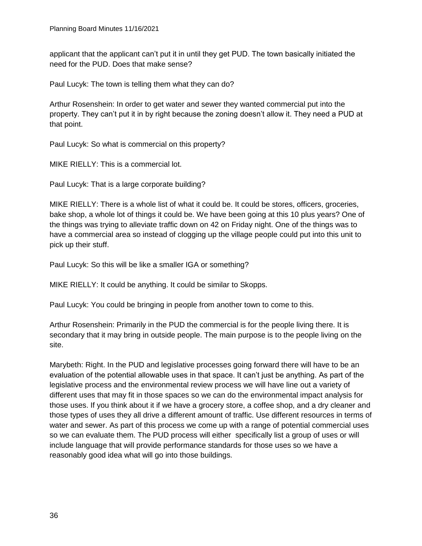applicant that the applicant can't put it in until they get PUD. The town basically initiated the need for the PUD. Does that make sense?

Paul Lucyk: The town is telling them what they can do?

Arthur Rosenshein: In order to get water and sewer they wanted commercial put into the property. They can't put it in by right because the zoning doesn't allow it. They need a PUD at that point.

Paul Lucyk: So what is commercial on this property?

MIKE RIELLY: This is a commercial lot.

Paul Lucyk: That is a large corporate building?

MIKE RIELLY: There is a whole list of what it could be. It could be stores, officers, groceries, bake shop, a whole lot of things it could be. We have been going at this 10 plus years? One of the things was trying to alleviate traffic down on 42 on Friday night. One of the things was to have a commercial area so instead of clogging up the village people could put into this unit to pick up their stuff.

Paul Lucyk: So this will be like a smaller IGA or something?

MIKE RIELLY: It could be anything. It could be similar to Skopps.

Paul Lucyk: You could be bringing in people from another town to come to this.

Arthur Rosenshein: Primarily in the PUD the commercial is for the people living there. It is secondary that it may bring in outside people. The main purpose is to the people living on the site.

Marybeth: Right. In the PUD and legislative processes going forward there will have to be an evaluation of the potential allowable uses in that space. It can't just be anything. As part of the legislative process and the environmental review process we will have line out a variety of different uses that may fit in those spaces so we can do the environmental impact analysis for those uses. If you think about it if we have a grocery store, a coffee shop, and a dry cleaner and those types of uses they all drive a different amount of traffic. Use different resources in terms of water and sewer. As part of this process we come up with a range of potential commercial uses so we can evaluate them. The PUD process will either specifically list a group of uses or will include language that will provide performance standards for those uses so we have a reasonably good idea what will go into those buildings.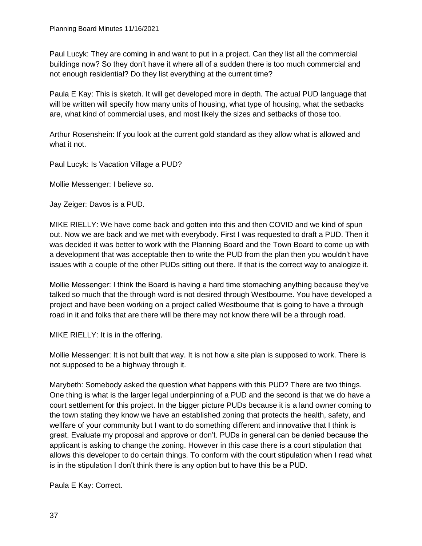Paul Lucyk: They are coming in and want to put in a project. Can they list all the commercial buildings now? So they don't have it where all of a sudden there is too much commercial and not enough residential? Do they list everything at the current time?

Paula E Kay: This is sketch. It will get developed more in depth. The actual PUD language that will be written will specify how many units of housing, what type of housing, what the setbacks are, what kind of commercial uses, and most likely the sizes and setbacks of those too.

Arthur Rosenshein: If you look at the current gold standard as they allow what is allowed and what it not.

Paul Lucyk: Is Vacation Village a PUD?

Mollie Messenger: I believe so.

Jay Zeiger: Davos is a PUD.

MIKE RIELLY: We have come back and gotten into this and then COVID and we kind of spun out. Now we are back and we met with everybody. First I was requested to draft a PUD. Then it was decided it was better to work with the Planning Board and the Town Board to come up with a development that was acceptable then to write the PUD from the plan then you wouldn't have issues with a couple of the other PUDs sitting out there. If that is the correct way to analogize it.

Mollie Messenger: I think the Board is having a hard time stomaching anything because they've talked so much that the through word is not desired through Westbourne. You have developed a project and have been working on a project called Westbourne that is going to have a through road in it and folks that are there will be there may not know there will be a through road.

MIKE RIELLY: It is in the offering.

Mollie Messenger: It is not built that way. It is not how a site plan is supposed to work. There is not supposed to be a highway through it.

Marybeth: Somebody asked the question what happens with this PUD? There are two things. One thing is what is the larger legal underpinning of a PUD and the second is that we do have a court settlement for this project. In the bigger picture PUDs because it is a land owner coming to the town stating they know we have an established zoning that protects the health, safety, and wellfare of your community but I want to do something different and innovative that I think is great. Evaluate my proposal and approve or don't. PUDs in general can be denied because the applicant is asking to change the zoning. However in this case there is a court stipulation that allows this developer to do certain things. To conform with the court stipulation when I read what is in the stipulation I don't think there is any option but to have this be a PUD.

Paula E Kay: Correct.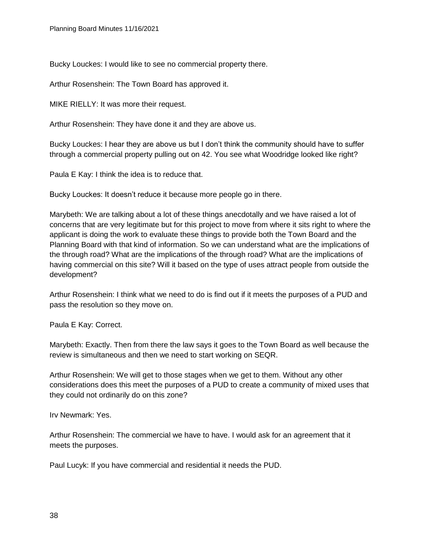Bucky Louckes: I would like to see no commercial property there.

Arthur Rosenshein: The Town Board has approved it.

MIKE RIELLY: It was more their request.

Arthur Rosenshein: They have done it and they are above us.

Bucky Louckes: I hear they are above us but I don't think the community should have to suffer through a commercial property pulling out on 42. You see what Woodridge looked like right?

Paula E Kay: I think the idea is to reduce that.

Bucky Louckes: It doesn't reduce it because more people go in there.

Marybeth: We are talking about a lot of these things anecdotally and we have raised a lot of concerns that are very legitimate but for this project to move from where it sits right to where the applicant is doing the work to evaluate these things to provide both the Town Board and the Planning Board with that kind of information. So we can understand what are the implications of the through road? What are the implications of the through road? What are the implications of having commercial on this site? Will it based on the type of uses attract people from outside the development?

Arthur Rosenshein: I think what we need to do is find out if it meets the purposes of a PUD and pass the resolution so they move on.

Paula E Kay: Correct.

Marybeth: Exactly. Then from there the law says it goes to the Town Board as well because the review is simultaneous and then we need to start working on SEQR.

Arthur Rosenshein: We will get to those stages when we get to them. Without any other considerations does this meet the purposes of a PUD to create a community of mixed uses that they could not ordinarily do on this zone?

Irv Newmark: Yes.

Arthur Rosenshein: The commercial we have to have. I would ask for an agreement that it meets the purposes.

Paul Lucyk: If you have commercial and residential it needs the PUD.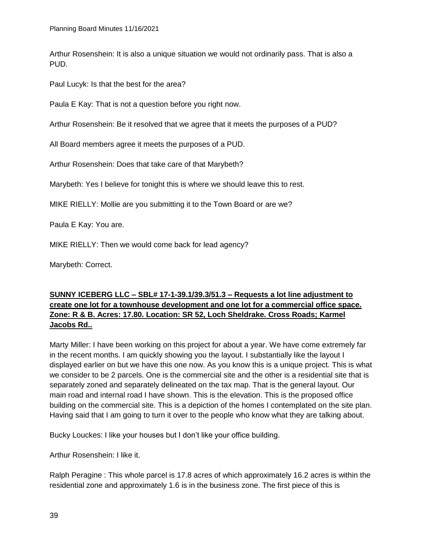Arthur Rosenshein: It is also a unique situation we would not ordinarily pass. That is also a PUD.

Paul Lucyk: Is that the best for the area?

Paula E Kay: That is not a question before you right now.

Arthur Rosenshein: Be it resolved that we agree that it meets the purposes of a PUD?

All Board members agree it meets the purposes of a PUD.

Arthur Rosenshein: Does that take care of that Marybeth?

Marybeth: Yes I believe for tonight this is where we should leave this to rest.

MIKE RIELLY: Mollie are you submitting it to the Town Board or are we?

Paula E Kay: You are.

MIKE RIELLY: Then we would come back for lead agency?

Marybeth: Correct.

## **SUNNY ICEBERG LLC – SBL# 17-1-39.1/39.3/51.3 – Requests a lot line adjustment to create one lot for a townhouse development and one lot for a commercial office space. Zone: R & B. Acres: 17.80. Location: SR 52, Loch Sheldrake. Cross Roads; Karmel Jacobs Rd..**

Marty Miller: I have been working on this project for about a year. We have come extremely far in the recent months. I am quickly showing you the layout. I substantially like the layout I displayed earlier on but we have this one now. As you know this is a unique project. This is what we consider to be 2 parcels. One is the commercial site and the other is a residential site that is separately zoned and separately delineated on the tax map. That is the general layout. Our main road and internal road I have shown. This is the elevation. This is the proposed office building on the commercial site. This is a depiction of the homes I contemplated on the site plan. Having said that I am going to turn it over to the people who know what they are talking about.

Bucky Louckes: I like your houses but I don't like your office building.

Arthur Rosenshein: I like it.

Ralph Peragine : This whole parcel is 17.8 acres of which approximately 16.2 acres is within the residential zone and approximately 1.6 is in the business zone. The first piece of this is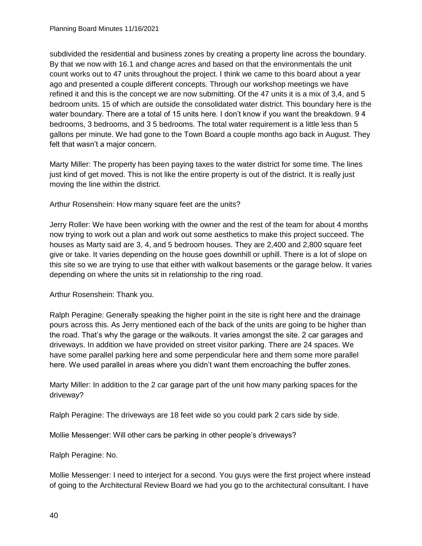subdivided the residential and business zones by creating a property line across the boundary. By that we now with 16.1 and change acres and based on that the environmentals the unit count works out to 47 units throughout the project. I think we came to this board about a year ago and presented a couple different concepts. Through our workshop meetings we have refined it and this is the concept we are now submitting. Of the 47 units it is a mix of 3,4, and 5 bedroom units. 15 of which are outside the consolidated water district. This boundary here is the water boundary. There are a total of 15 units here. I don't know if you want the breakdown. 9 4 bedrooms, 3 bedrooms, and 3 5 bedrooms. The total water requirement is a little less than 5 gallons per minute. We had gone to the Town Board a couple months ago back in August. They felt that wasn't a major concern.

Marty Miller: The property has been paying taxes to the water district for some time. The lines just kind of get moved. This is not like the entire property is out of the district. It is really just moving the line within the district.

Arthur Rosenshein: How many square feet are the units?

Jerry Roller: We have been working with the owner and the rest of the team for about 4 months now trying to work out a plan and work out some aesthetics to make this project succeed. The houses as Marty said are 3, 4, and 5 bedroom houses. They are 2,400 and 2,800 square feet give or take. It varies depending on the house goes downhill or uphill. There is a lot of slope on this site so we are trying to use that either with walkout basements or the garage below. It varies depending on where the units sit in relationship to the ring road.

Arthur Rosenshein: Thank you.

Ralph Peragine: Generally speaking the higher point in the site is right here and the drainage pours across this. As Jerry mentioned each of the back of the units are going to be higher than the road. That's why the garage or the walkouts. It varies amongst the site. 2 car garages and driveways. In addition we have provided on street visitor parking. There are 24 spaces. We have some parallel parking here and some perpendicular here and them some more parallel here. We used parallel in areas where you didn't want them encroaching the buffer zones.

Marty Miller: In addition to the 2 car garage part of the unit how many parking spaces for the driveway?

Ralph Peragine: The driveways are 18 feet wide so you could park 2 cars side by side.

Mollie Messenger: Will other cars be parking in other people's driveways?

Ralph Peragine: No.

Mollie Messenger: I need to interject for a second. You guys were the first project where instead of going to the Architectural Review Board we had you go to the architectural consultant. I have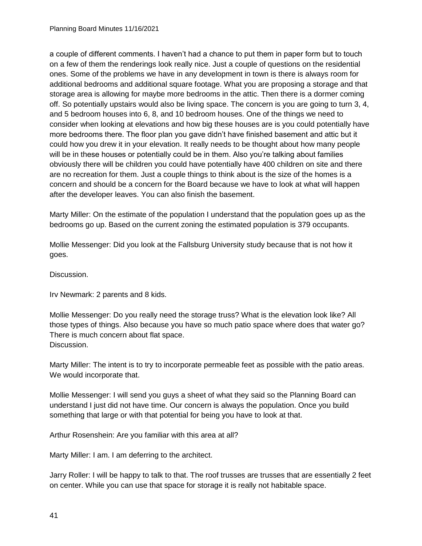a couple of different comments. I haven't had a chance to put them in paper form but to touch on a few of them the renderings look really nice. Just a couple of questions on the residential ones. Some of the problems we have in any development in town is there is always room for additional bedrooms and additional square footage. What you are proposing a storage and that storage area is allowing for maybe more bedrooms in the attic. Then there is a dormer coming off. So potentially upstairs would also be living space. The concern is you are going to turn 3, 4, and 5 bedroom houses into 6, 8, and 10 bedroom houses. One of the things we need to consider when looking at elevations and how big these houses are is you could potentially have more bedrooms there. The floor plan you gave didn't have finished basement and attic but it could how you drew it in your elevation. It really needs to be thought about how many people will be in these houses or potentially could be in them. Also you're talking about families obviously there will be children you could have potentially have 400 children on site and there are no recreation for them. Just a couple things to think about is the size of the homes is a concern and should be a concern for the Board because we have to look at what will happen after the developer leaves. You can also finish the basement.

Marty Miller: On the estimate of the population I understand that the population goes up as the bedrooms go up. Based on the current zoning the estimated population is 379 occupants.

Mollie Messenger: Did you look at the Fallsburg University study because that is not how it goes.

Discussion.

Irv Newmark: 2 parents and 8 kids.

Mollie Messenger: Do you really need the storage truss? What is the elevation look like? All those types of things. Also because you have so much patio space where does that water go? There is much concern about flat space. Discussion.

Marty Miller: The intent is to try to incorporate permeable feet as possible with the patio areas. We would incorporate that.

Mollie Messenger: I will send you guys a sheet of what they said so the Planning Board can understand I just did not have time. Our concern is always the population. Once you build something that large or with that potential for being you have to look at that.

Arthur Rosenshein: Are you familiar with this area at all?

Marty Miller: I am. I am deferring to the architect.

Jarry Roller: I will be happy to talk to that. The roof trusses are trusses that are essentially 2 feet on center. While you can use that space for storage it is really not habitable space.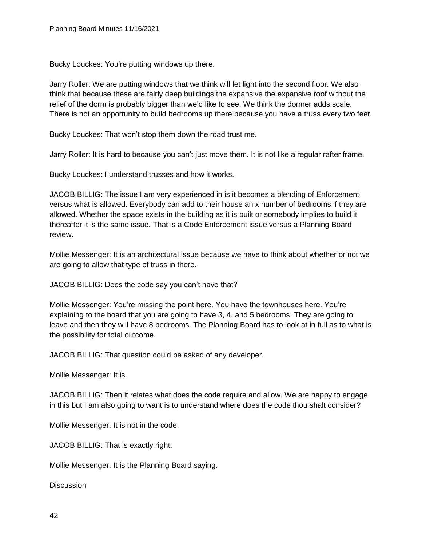Bucky Louckes: You're putting windows up there.

Jarry Roller: We are putting windows that we think will let light into the second floor. We also think that because these are fairly deep buildings the expansive the expansive roof without the relief of the dorm is probably bigger than we'd like to see. We think the dormer adds scale. There is not an opportunity to build bedrooms up there because you have a truss every two feet.

Bucky Louckes: That won't stop them down the road trust me.

Jarry Roller: It is hard to because you can't just move them. It is not like a regular rafter frame.

Bucky Louckes: I understand trusses and how it works.

JACOB BILLIG: The issue I am very experienced in is it becomes a blending of Enforcement versus what is allowed. Everybody can add to their house an x number of bedrooms if they are allowed. Whether the space exists in the building as it is built or somebody implies to build it thereafter it is the same issue. That is a Code Enforcement issue versus a Planning Board review.

Mollie Messenger: It is an architectural issue because we have to think about whether or not we are going to allow that type of truss in there.

JACOB BILLIG: Does the code say you can't have that?

Mollie Messenger: You're missing the point here. You have the townhouses here. You're explaining to the board that you are going to have 3, 4, and 5 bedrooms. They are going to leave and then they will have 8 bedrooms. The Planning Board has to look at in full as to what is the possibility for total outcome.

JACOB BILLIG: That question could be asked of any developer.

Mollie Messenger: It is.

JACOB BILLIG: Then it relates what does the code require and allow. We are happy to engage in this but I am also going to want is to understand where does the code thou shalt consider?

Mollie Messenger: It is not in the code.

JACOB BILLIG: That is exactly right.

Mollie Messenger: It is the Planning Board saying.

**Discussion**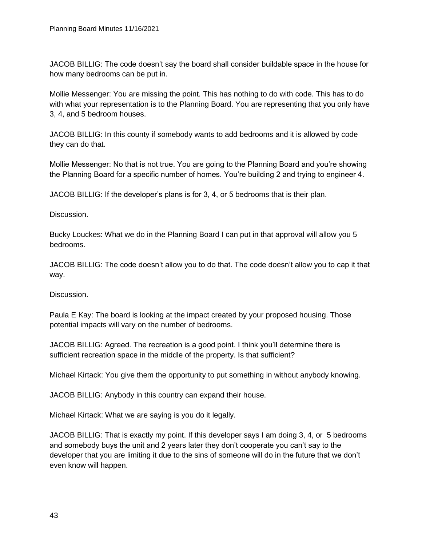JACOB BILLIG: The code doesn't say the board shall consider buildable space in the house for how many bedrooms can be put in.

Mollie Messenger: You are missing the point. This has nothing to do with code. This has to do with what your representation is to the Planning Board. You are representing that you only have 3, 4, and 5 bedroom houses.

JACOB BILLIG: In this county if somebody wants to add bedrooms and it is allowed by code they can do that.

Mollie Messenger: No that is not true. You are going to the Planning Board and you're showing the Planning Board for a specific number of homes. You're building 2 and trying to engineer 4.

JACOB BILLIG: If the developer's plans is for 3, 4, or 5 bedrooms that is their plan.

Discussion.

Bucky Louckes: What we do in the Planning Board I can put in that approval will allow you 5 bedrooms.

JACOB BILLIG: The code doesn't allow you to do that. The code doesn't allow you to cap it that way.

Discussion.

Paula E Kay: The board is looking at the impact created by your proposed housing. Those potential impacts will vary on the number of bedrooms.

JACOB BILLIG: Agreed. The recreation is a good point. I think you'll determine there is sufficient recreation space in the middle of the property. Is that sufficient?

Michael Kirtack: You give them the opportunity to put something in without anybody knowing.

JACOB BILLIG: Anybody in this country can expand their house.

Michael Kirtack: What we are saying is you do it legally.

JACOB BILLIG: That is exactly my point. If this developer says I am doing 3, 4, or 5 bedrooms and somebody buys the unit and 2 years later they don't cooperate you can't say to the developer that you are limiting it due to the sins of someone will do in the future that we don't even know will happen.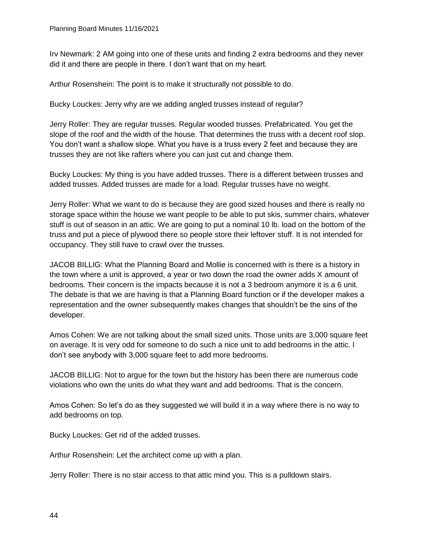Irv Newmark: 2 AM going into one of these units and finding 2 extra bedrooms and they never did it and there are people in there. I don't want that on my heart.

Arthur Rosenshein: The point is to make it structurally not possible to do.

Bucky Louckes: Jerry why are we adding angled trusses instead of regular?

Jerry Roller: They are regular trusses. Regular wooded trusses. Prefabricated. You get the slope of the roof and the width of the house. That determines the truss with a decent roof slop. You don't want a shallow slope. What you have is a truss every 2 feet and because they are trusses they are not like rafters where you can just cut and change them.

Bucky Louckes: My thing is you have added trusses. There is a different between trusses and added trusses. Added trusses are made for a load. Regular trusses have no weight.

Jerry Roller: What we want to do is because they are good sized houses and there is really no storage space within the house we want people to be able to put skis, summer chairs, whatever stuff is out of season in an attic. We are going to put a nominal 10 lb. load on the bottom of the truss and put a piece of plywood there so people store their leftover stuff. It is not intended for occupancy. They still have to crawl over the trusses.

JACOB BILLIG: What the Planning Board and Mollie is concerned with is there is a history in the town where a unit is approved, a year or two down the road the owner adds X amount of bedrooms. Their concern is the impacts because it is not a 3 bedroom anymore it is a 6 unit. The debate is that we are having is that a Planning Board function or if the developer makes a representation and the owner subsequently makes changes that shouldn't be the sins of the developer.

Amos Cohen: We are not talking about the small sized units. Those units are 3,000 square feet on average. It is very odd for someone to do such a nice unit to add bedrooms in the attic. I don't see anybody with 3,000 square feet to add more bedrooms.

JACOB BILLIG: Not to argue for the town but the history has been there are numerous code violations who own the units do what they want and add bedrooms. That is the concern.

Amos Cohen: So let's do as they suggested we will build it in a way where there is no way to add bedrooms on top.

Bucky Louckes: Get rid of the added trusses.

Arthur Rosenshein: Let the architect come up with a plan.

Jerry Roller: There is no stair access to that attic mind you. This is a pulldown stairs.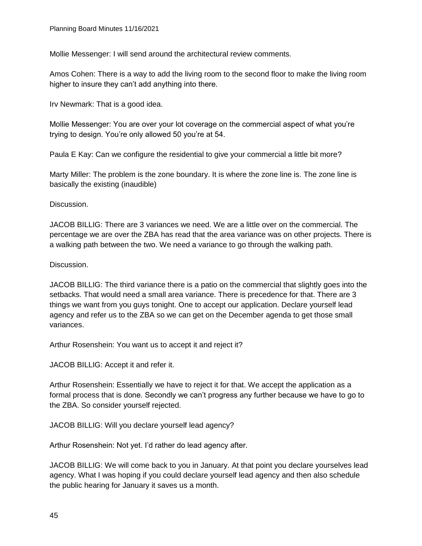Mollie Messenger: I will send around the architectural review comments.

Amos Cohen: There is a way to add the living room to the second floor to make the living room higher to insure they can't add anything into there.

Irv Newmark: That is a good idea.

Mollie Messenger: You are over your lot coverage on the commercial aspect of what you're trying to design. You're only allowed 50 you're at 54.

Paula E Kay: Can we configure the residential to give your commercial a little bit more?

Marty Miller: The problem is the zone boundary. It is where the zone line is. The zone line is basically the existing (inaudible)

Discussion.

JACOB BILLIG: There are 3 variances we need. We are a little over on the commercial. The percentage we are over the ZBA has read that the area variance was on other projects. There is a walking path between the two. We need a variance to go through the walking path.

Discussion.

JACOB BILLIG: The third variance there is a patio on the commercial that slightly goes into the setbacks. That would need a small area variance. There is precedence for that. There are 3 things we want from you guys tonight. One to accept our application. Declare yourself lead agency and refer us to the ZBA so we can get on the December agenda to get those small variances.

Arthur Rosenshein: You want us to accept it and reject it?

JACOB BILLIG: Accept it and refer it.

Arthur Rosenshein: Essentially we have to reject it for that. We accept the application as a formal process that is done. Secondly we can't progress any further because we have to go to the ZBA. So consider yourself rejected.

JACOB BILLIG: Will you declare yourself lead agency?

Arthur Rosenshein: Not yet. I'd rather do lead agency after.

JACOB BILLIG: We will come back to you in January. At that point you declare yourselves lead agency. What I was hoping if you could declare yourself lead agency and then also schedule the public hearing for January it saves us a month.